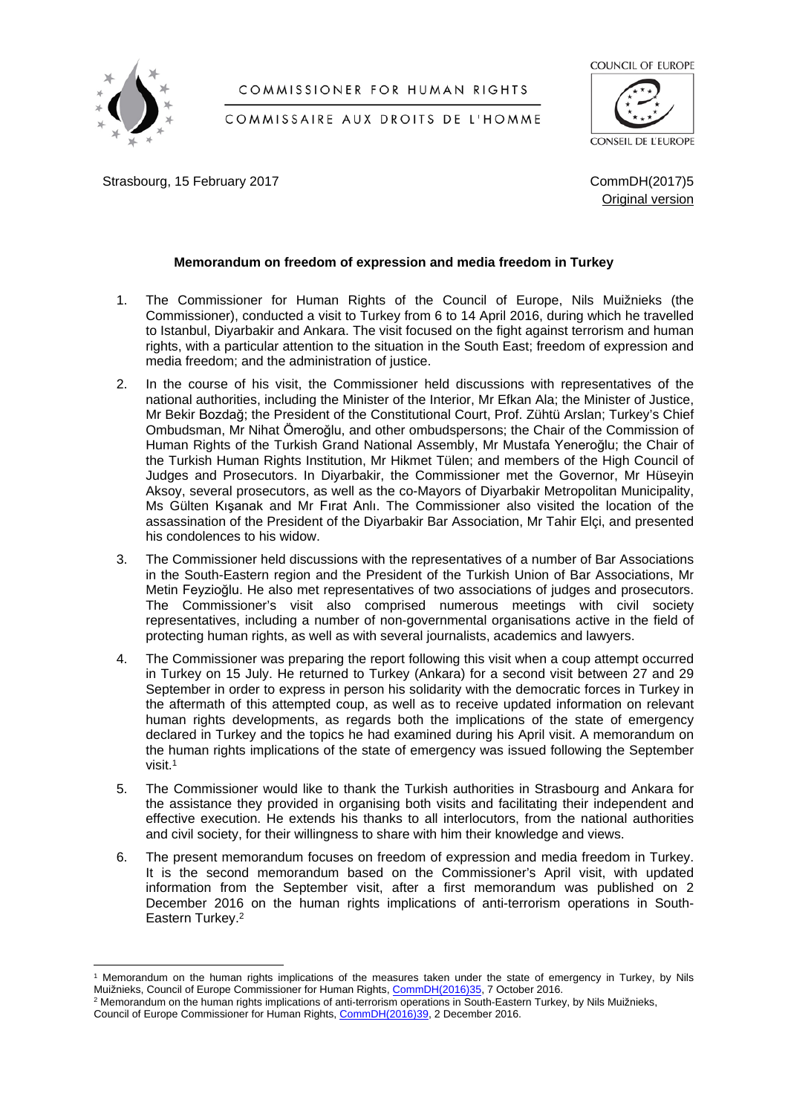

## COMMISSIONER FOR HUMAN RIGHTS

COMMISSAIRE AUX DROITS DE L'HOMME

COUNCIL OF EUROPE

CONSEIL DE L'EUROPE

Strasbourg, 15 February 2017 **Command Command Command Command Command Common Common Common Common Common Common Common Common Common Common Common Common Common Common Common Common Common Common Common Common Common Commo** 

Original version

# **Memorandum on freedom of expression and media freedom in Turkey**

- 1. The Commissioner for Human Rights of the Council of Europe, Nils Muižnieks (the Commissioner), conducted a visit to Turkey from 6 to 14 April 2016, during which he travelled to Istanbul, Diyarbakir and Ankara. The visit focused on the fight against terrorism and human rights, with a particular attention to the situation in the South East; freedom of expression and media freedom; and the administration of justice.
- 2. In the course of his visit, the Commissioner held discussions with representatives of the national authorities, including the Minister of the Interior, Mr Efkan Ala; the Minister of Justice, Mr Bekir Bozdağ; the President of the Constitutional Court, Prof. Zühtü Arslan; Turkey's Chief Ombudsman, Mr Nihat Ömeroğlu, and other ombudspersons; the Chair of the Commission of Human Rights of the Turkish Grand National Assembly, Mr Mustafa Yeneroğlu; the Chair of the Turkish Human Rights Institution, Mr Hikmet Tülen; and members of the High Council of Judges and Prosecutors. In Diyarbakir, the Commissioner met the Governor, Mr Hüseyin Aksoy, several prosecutors, as well as the co-Mayors of Diyarbakir Metropolitan Municipality, Ms Gülten Kışanak and Mr Fırat Anlı. The Commissioner also visited the location of the assassination of the President of the Diyarbakir Bar Association, Mr Tahir Elçi, and presented his condolences to his widow.
- 3. The Commissioner held discussions with the representatives of a number of Bar Associations in the South-Eastern region and the President of the Turkish Union of Bar Associations, Mr Metin Feyzioğlu. He also met representatives of two associations of judges and prosecutors. The Commissioner's visit also comprised numerous meetings with civil society representatives, including a number of non-governmental organisations active in the field of protecting human rights, as well as with several journalists, academics and lawyers.
- 4. The Commissioner was preparing the report following this visit when a coup attempt occurred in Turkey on 15 July. He returned to Turkey (Ankara) for a second visit between 27 and 29 September in order to express in person his solidarity with the democratic forces in Turkey in the aftermath of this attempted coup, as well as to receive updated information on relevant human rights developments, as regards both the implications of the state of emergency declared in Turkey and the topics he had examined during his April visit. A memorandum on the human rights implications of the state of emergency was issued following the September visit<sup>1</sup>
- 5. The Commissioner would like to thank the Turkish authorities in Strasbourg and Ankara for the assistance they provided in organising both visits and facilitating their independent and effective execution. He extends his thanks to all interlocutors, from the national authorities and civil society, for their willingness to share with him their knowledge and views.
- 6. The present memorandum focuses on freedom of expression and media freedom in Turkey. It is the second memorandum based on the Commissioner's April visit, with updated information from the September visit, after a first memorandum was published on 2 December 2016 on the human rights implications of anti-terrorism operations in South-Eastern Turkey.<sup>2</sup>

<sup>1</sup> Memorandum on the human rights implications of the measures taken under the state of emergency in Turkey, by Nils Muižnieks, Council of Europe Commissioner for Human Rights, [CommDH\(2016\)35,](https://wcd.coe.int/ViewDoc.jsp?p=&Ref=CommDH(2016)35&Language=lanAll&direct=true) 7 October 2016.

<sup>2</sup> Memorandum on the human rights implications of anti-terrorism operations in South-Eastern Turkey, by Nils Muižnieks, Council of Europe Commissioner for Human Rights, [CommDH\(2016\)39,](https://wcd.coe.int/ViewDoc.jsp?p=&Ref=CommDH(2016)39) 2 December 2016.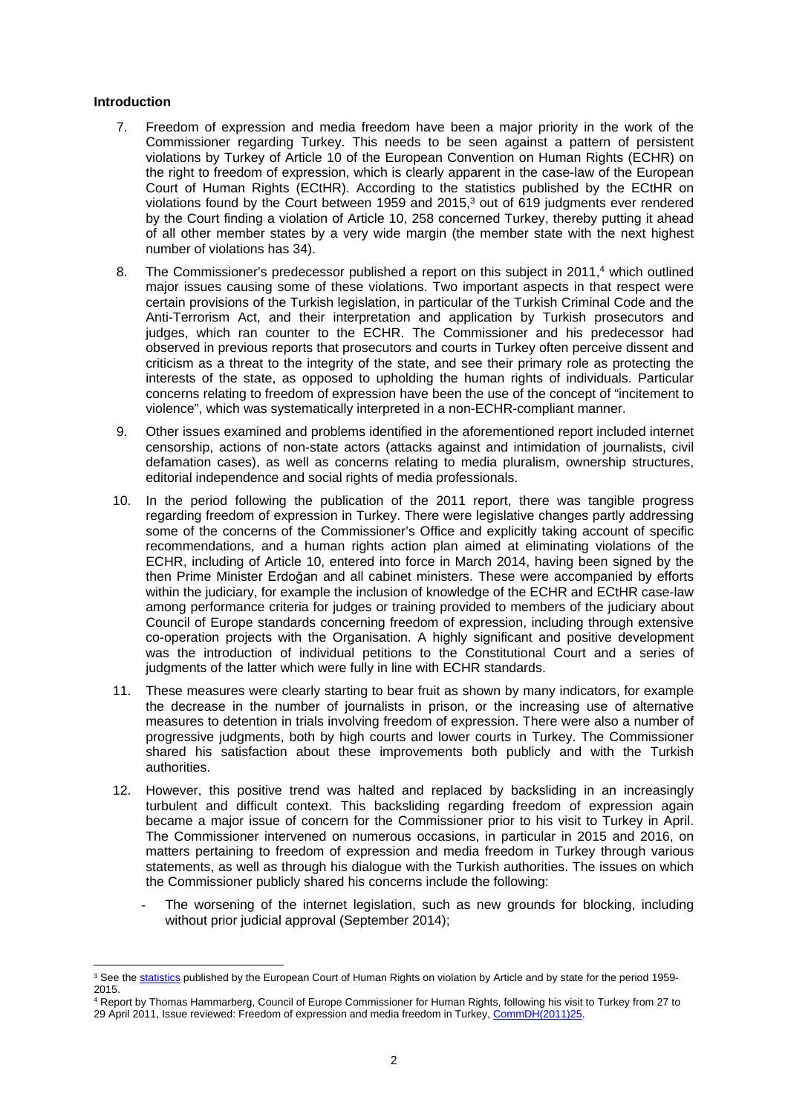## **Introduction**

- 7. Freedom of expression and media freedom have been a major priority in the work of the Commissioner regarding Turkey. This needs to be seen against a pattern of persistent violations by Turkey of Article 10 of the European Convention on Human Rights (ECHR) on the right to freedom of expression, which is clearly apparent in the case-law of the European Court of Human Rights (ECtHR). According to the statistics published by the ECtHR on violations found by the Court between 1959 and 2015,<sup>3</sup> out of 619 judgments ever rendered by the Court finding a violation of Article 10, 258 concerned Turkey, thereby putting it ahead of all other member states by a very wide margin (the member state with the next highest number of violations has 34).
- 8. The Commissioner's predecessor published a report on this subject in 2011,<sup>4</sup> which outlined major issues causing some of these violations. Two important aspects in that respect were certain provisions of the Turkish legislation, in particular of the Turkish Criminal Code and the Anti-Terrorism Act, and their interpretation and application by Turkish prosecutors and judges, which ran counter to the ECHR. The Commissioner and his predecessor had observed in previous reports that prosecutors and courts in Turkey often perceive dissent and criticism as a threat to the integrity of the state, and see their primary role as protecting the interests of the state, as opposed to upholding the human rights of individuals. Particular concerns relating to freedom of expression have been the use of the concept of "incitement to violence", which was systematically interpreted in a non-ECHR-compliant manner.
- 9. Other issues examined and problems identified in the aforementioned report included internet censorship, actions of non-state actors (attacks against and intimidation of journalists, civil defamation cases), as well as concerns relating to media pluralism, ownership structures, editorial independence and social rights of media professionals.
- 10. In the period following the publication of the 2011 report, there was tangible progress regarding freedom of expression in Turkey. There were legislative changes partly addressing some of the concerns of the Commissioner's Office and explicitly taking account of specific recommendations, and a human rights action plan aimed at eliminating violations of the ECHR, including of Article 10, entered into force in March 2014, having been signed by the then Prime Minister Erdoğan and all cabinet ministers. These were accompanied by efforts within the judiciary, for example the inclusion of knowledge of the ECHR and ECtHR case-law among performance criteria for judges or training provided to members of the judiciary about Council of Europe standards concerning freedom of expression, including through extensive co-operation projects with the Organisation. A highly significant and positive development was the introduction of individual petitions to the Constitutional Court and a series of judgments of the latter which were fully in line with ECHR standards.
- 11. These measures were clearly starting to bear fruit as shown by many indicators, for example the decrease in the number of journalists in prison, or the increasing use of alternative measures to detention in trials involving freedom of expression. There were also a number of progressive judgments, both by high courts and lower courts in Turkey. The Commissioner shared his satisfaction about these improvements both publicly and with the Turkish authorities.
- 12. However, this positive trend was halted and replaced by backsliding in an increasingly turbulent and difficult context. This backsliding regarding freedom of expression again became a major issue of concern for the Commissioner prior to his visit to Turkey in April. The Commissioner intervened on numerous occasions, in particular in 2015 and 2016, on matters pertaining to freedom of expression and media freedom in Turkey through various statements, as well as through his dialogue with the Turkish authorities. The issues on which the Commissioner publicly shared his concerns include the following:
	- The worsening of the internet legislation, such as new grounds for blocking, including without prior judicial approval (September 2014);

<sup>&</sup>lt;sup>3</sup> See the [statistics](http://www.echr.coe.int/Documents/Stats_violation_1959_2015_ENG.pdf) published by the European Court of Human Rights on violation by Article and by state for the period 1959-2015.

<sup>4</sup> Report by Thomas Hammarberg, Council of Europe Commissioner for Human Rights, following his visit to Turkey from 27 to 29 April 2011, Issue reviewed: Freedom of expression and media freedom in Turkey, [CommDH\(2011\)25.](https://wcd.coe.int/ViewDoc.jsp?id=1814085)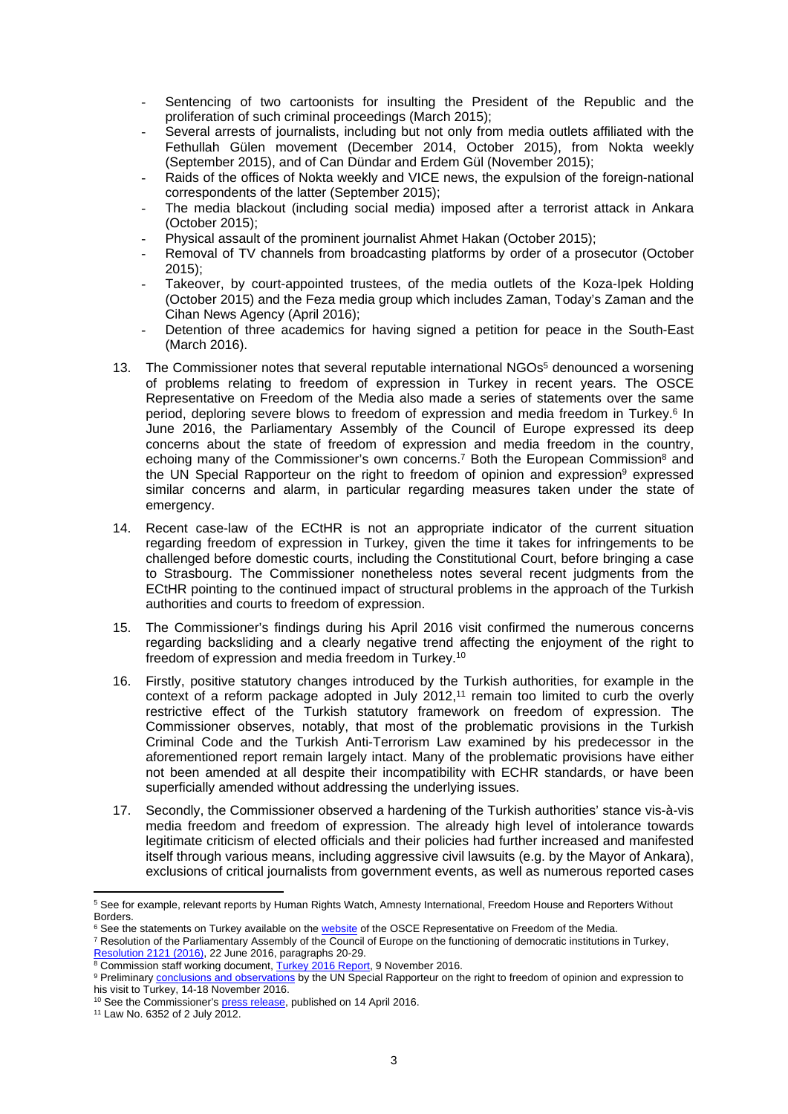- Sentencing of two cartoonists for insulting the President of the Republic and the proliferation of such criminal proceedings (March 2015);
- Several arrests of journalists, including but not only from media outlets affiliated with the Fethullah Gülen movement (December 2014, October 2015), from Nokta weekly (September 2015), and of Can Dündar and Erdem Gül (November 2015);
- Raids of the offices of Nokta weekly and VICE news, the expulsion of the foreign-national correspondents of the latter (September 2015);
- The media blackout (including social media) imposed after a terrorist attack in Ankara (October 2015);
- Physical assault of the prominent journalist Ahmet Hakan (October 2015);
- Removal of TV channels from broadcasting platforms by order of a prosecutor (October 2015);
- Takeover, by court-appointed trustees, of the media outlets of the Koza-Ipek Holding (October 2015) and the Feza media group which includes Zaman, Today's Zaman and the Cihan News Agency (April 2016);
- Detention of three academics for having signed a petition for peace in the South-East (March 2016).
- 13. The Commissioner notes that several reputable international NGOs<sup>5</sup> denounced a worsening of problems relating to freedom of expression in Turkey in recent years. The OSCE Representative on Freedom of the Media also made a series of statements over the same period, deploring severe blows to freedom of expression and media freedom in Turkey.<sup>6</sup> In June 2016, the Parliamentary Assembly of the Council of Europe expressed its deep concerns about the state of freedom of expression and media freedom in the country, echoing many of the Commissioner's own concerns.<sup>7</sup> Both the European Commission<sup>8</sup> and the UN Special Rapporteur on the right to freedom of opinion and expression<sup>9</sup> expressed similar concerns and alarm, in particular regarding measures taken under the state of emergency.
- 14. Recent case-law of the ECtHR is not an appropriate indicator of the current situation regarding freedom of expression in Turkey, given the time it takes for infringements to be challenged before domestic courts, including the Constitutional Court, before bringing a case to Strasbourg. The Commissioner nonetheless notes several recent judgments from the ECtHR pointing to the continued impact of structural problems in the approach of the Turkish authorities and courts to freedom of expression.
- 15. The Commissioner's findings during his April 2016 visit confirmed the numerous concerns regarding backsliding and a clearly negative trend affecting the enjoyment of the right to freedom of expression and media freedom in Turkey.<sup>10</sup>
- 16. Firstly, positive statutory changes introduced by the Turkish authorities, for example in the context of a reform package adopted in July 2012,<sup>11</sup> remain too limited to curb the overly restrictive effect of the Turkish statutory framework on freedom of expression. The Commissioner observes, notably, that most of the problematic provisions in the Turkish Criminal Code and the Turkish Anti-Terrorism Law examined by his predecessor in the aforementioned report remain largely intact. Many of the problematic provisions have either not been amended at all despite their incompatibility with ECHR standards, or have been superficially amended without addressing the underlying issues.
- 17. Secondly, the Commissioner observed a hardening of the Turkish authorities' stance vis-à-vis media freedom and freedom of expression. The already high level of intolerance towards legitimate criticism of elected officials and their policies had further increased and manifested itself through various means, including aggressive civil lawsuits (e.g. by the Mayor of Ankara), exclusions of critical journalists from government events, as well as numerous reported cases

<sup>5</sup> See for example, relevant reports by Human Rights Watch, Amnesty International, Freedom House and Reporters Without Borders.

<sup>&</sup>lt;sup>6</sup> See the statements on Turkey available on the [website](http://www.osce.org/fom/statements?filters=+im_taxonomy_vid_5:(313)&solrsort=ds_date%20desc&rows=10) of the OSCE Representative on Freedom of the Media.

<sup>7</sup> Resolution of the Parliamentary Assembly of the Council of Europe on the functioning of democratic institutions in Turkey, [Resolution 2121 \(2016\)](http://assembly.coe.int/nw/xml/XRef/Xref-DocDetails-EN.asp?fileid=22957&lang=EN&search=KjoqfGNhdGVnb3J5X3N0cl9lbjoiQWRvcHRlZCB0ZXh0InxzZXNzaW9ucGFydF9zdHJfZW46IjIwMTYgLSBUaGlyZCBwYXJ0LXNlc3Npb24i), 22 June 2016, paragraphs 20-29.

<sup>&</sup>lt;sup>8</sup> Commission staff working document, <u>[Turkey 2016 Report,](https://ec.europa.eu/neighbourhood-enlargement/sites/near/files/pdf/key_documents/2016/20161109_report_turkey.pdf)</u> 9 November 2016.<br><sup>9</sup> Preliminary <u>conclusions and observations</u> by the UN Special Rapporteur on the right to freedom of opinion and expression to his visit to Turkey, 14-18 November 2016.

<sup>&</sup>lt;sup>10</sup> See the Commissioner's [press release,](http://www.coe.int/en/web/commissioner/-/turkey-security-trumping-human-rights-free-expression-under-threat?inheritRedirect=true&redirect=%2Fen%2Fweb%2Fcommissioner%2Fcountry-report%2Fturkey) published on 14 April 2016.

<sup>11</sup> Law No. 6352 of 2 July 2012.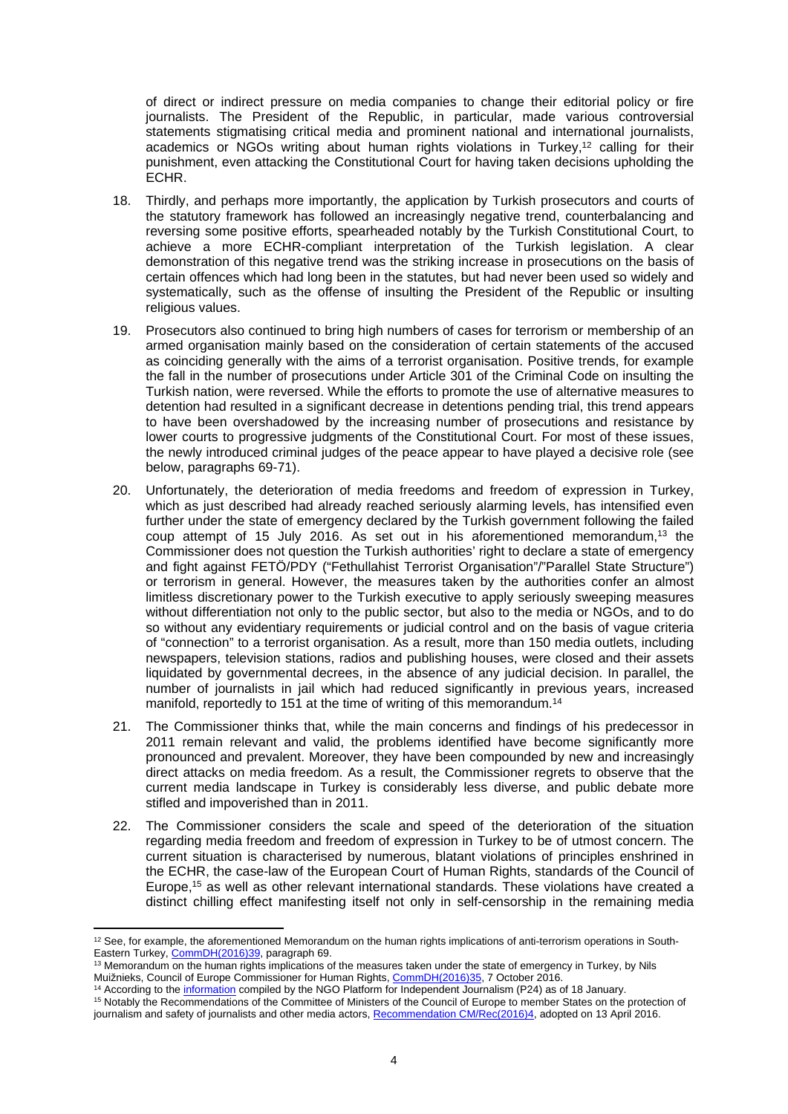of direct or indirect pressure on media companies to change their editorial policy or fire journalists. The President of the Republic, in particular, made various controversial statements stigmatising critical media and prominent national and international journalists, academics or NGOs writing about human rights violations in Turkey,<sup>12</sup> calling for their punishment, even attacking the Constitutional Court for having taken decisions upholding the ECHR.

- 18. Thirdly, and perhaps more importantly, the application by Turkish prosecutors and courts of the statutory framework has followed an increasingly negative trend, counterbalancing and reversing some positive efforts, spearheaded notably by the Turkish Constitutional Court, to achieve a more ECHR-compliant interpretation of the Turkish legislation. A clear demonstration of this negative trend was the striking increase in prosecutions on the basis of certain offences which had long been in the statutes, but had never been used so widely and systematically, such as the offense of insulting the President of the Republic or insulting religious values.
- 19. Prosecutors also continued to bring high numbers of cases for terrorism or membership of an armed organisation mainly based on the consideration of certain statements of the accused as coinciding generally with the aims of a terrorist organisation. Positive trends, for example the fall in the number of prosecutions under Article 301 of the Criminal Code on insulting the Turkish nation, were reversed. While the efforts to promote the use of alternative measures to detention had resulted in a significant decrease in detentions pending trial, this trend appears to have been overshadowed by the increasing number of prosecutions and resistance by lower courts to progressive judgments of the Constitutional Court. For most of these issues, the newly introduced criminal judges of the peace appear to have played a decisive role (see below, paragraphs 69-71).
- 20. Unfortunately, the deterioration of media freedoms and freedom of expression in Turkey, which as just described had already reached seriously alarming levels, has intensified even further under the state of emergency declared by the Turkish government following the failed coup attempt of 15 July 2016. As set out in his aforementioned memorandum,<sup>13</sup> the Commissioner does not question the Turkish authorities' right to declare a state of emergency and fight against FETÖ/PDY ("Fethullahist Terrorist Organisation"/"Parallel State Structure") or terrorism in general. However, the measures taken by the authorities confer an almost limitless discretionary power to the Turkish executive to apply seriously sweeping measures without differentiation not only to the public sector, but also to the media or NGOs, and to do so without any evidentiary requirements or judicial control and on the basis of vague criteria of "connection" to a terrorist organisation. As a result, more than 150 media outlets, including newspapers, television stations, radios and publishing houses, were closed and their assets liquidated by governmental decrees, in the absence of any judicial decision. In parallel, the number of journalists in jail which had reduced significantly in previous years, increased manifold, reportedly to 151 at the time of writing of this memorandum.<sup>14</sup>
- 21. The Commissioner thinks that, while the main concerns and findings of his predecessor in 2011 remain relevant and valid, the problems identified have become significantly more pronounced and prevalent. Moreover, they have been compounded by new and increasingly direct attacks on media freedom. As a result, the Commissioner regrets to observe that the current media landscape in Turkey is considerably less diverse, and public debate more stifled and impoverished than in 2011.
- 22. The Commissioner considers the scale and speed of the deterioration of the situation regarding media freedom and freedom of expression in Turkey to be of utmost concern. The current situation is characterised by numerous, blatant violations of principles enshrined in the ECHR, the case-law of the European Court of Human Rights, standards of the Council of Europe,<sup>15</sup> as well as other relevant international standards. These violations have created a distinct chilling effect manifesting itself not only in self-censorship in the remaining media

<sup>12</sup> See, for example, the aforementioned Memorandum on the human rights implications of anti-terrorism operations in South-Eastern Turkey, [CommDH\(2016\)39,](https://wcd.coe.int/ViewDoc.jsp?p=&Ref=CommDH(2016)39) paragraph 69.

<sup>13</sup> Memorandum on the human rights implications of the measures taken under the state of emergency in Turkey, by Nils Muižnieks, Council of Europe Commissioner for Human Rights, [CommDH\(2016\)35,](https://wcd.coe.int/ViewDoc.jsp?p=&Ref=CommDH(2016)35&Language=lanAll&direct=true) 7 October 2016.

<sup>&</sup>lt;sup>14</sup> According to the [information](http://platform24.org/guncel/1969/olaganustu-h-l-de-gazeteciler---50) compiled by the NGO Platform for Independent Journalism (P24) as of 18 January.

<sup>15</sup> Notably the Recommendations of the Committee of Ministers of the Council of Europe to member States on the protection of journalism and safety of journalists and other media actors, [Recommendation CM/Rec\(2016\)4,](https://search.coe.int/cm/Pages/result_details.aspx?ObjectId=09000016806415d9#_ftn1) adopted on 13 April 2016.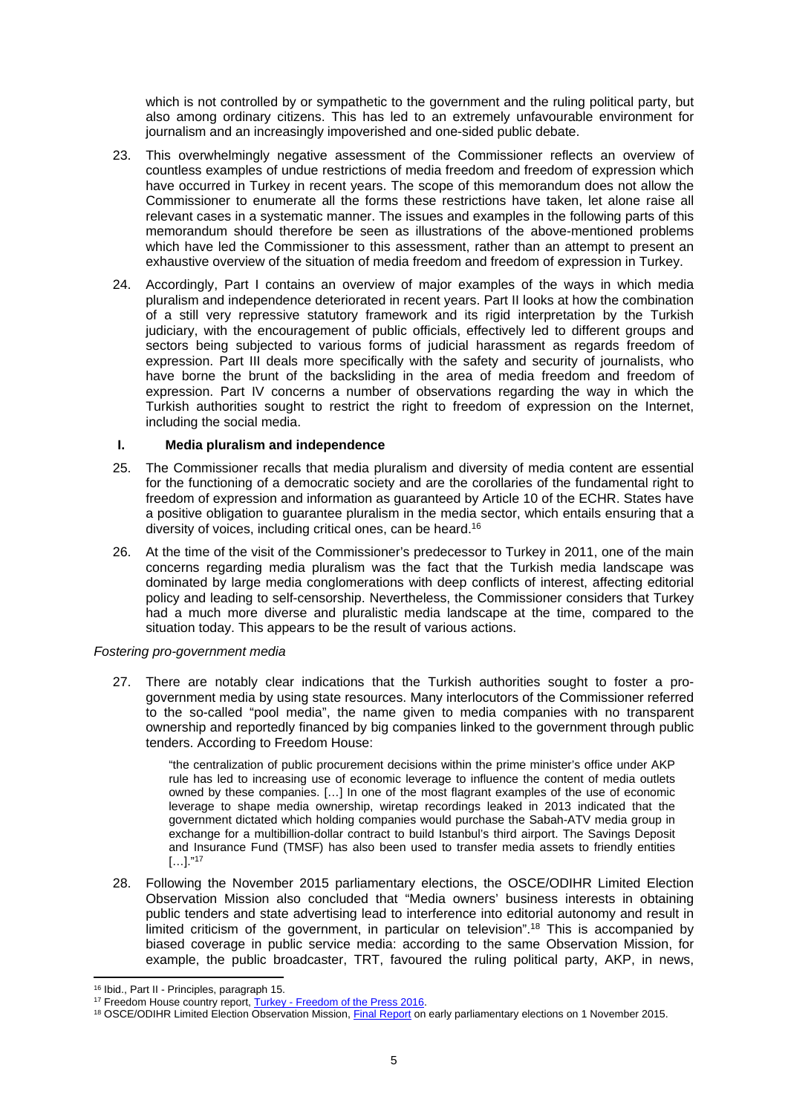which is not controlled by or sympathetic to the government and the ruling political party, but also among ordinary citizens. This has led to an extremely unfavourable environment for journalism and an increasingly impoverished and one-sided public debate.

- 23. This overwhelmingly negative assessment of the Commissioner reflects an overview of countless examples of undue restrictions of media freedom and freedom of expression which have occurred in Turkey in recent years. The scope of this memorandum does not allow the Commissioner to enumerate all the forms these restrictions have taken, let alone raise all relevant cases in a systematic manner. The issues and examples in the following parts of this memorandum should therefore be seen as illustrations of the above-mentioned problems which have led the Commissioner to this assessment, rather than an attempt to present an exhaustive overview of the situation of media freedom and freedom of expression in Turkey.
- 24. Accordingly, Part I contains an overview of major examples of the ways in which media pluralism and independence deteriorated in recent years. Part II looks at how the combination of a still very repressive statutory framework and its rigid interpretation by the Turkish judiciary, with the encouragement of public officials, effectively led to different groups and sectors being subjected to various forms of judicial harassment as regards freedom of expression. Part III deals more specifically with the safety and security of journalists, who have borne the brunt of the backsliding in the area of media freedom and freedom of expression. Part IV concerns a number of observations regarding the way in which the Turkish authorities sought to restrict the right to freedom of expression on the Internet, including the social media.

## **I. Media pluralism and independence**

- 25. The Commissioner recalls that media pluralism and diversity of media content are essential for the functioning of a democratic society and are the corollaries of the fundamental right to freedom of expression and information as guaranteed by Article 10 of the ECHR. States have a positive obligation to guarantee pluralism in the media sector, which entails ensuring that a diversity of voices, including critical ones, can be heard.<sup>16</sup>
- 26. At the time of the visit of the Commissioner's predecessor to Turkey in 2011, one of the main concerns regarding media pluralism was the fact that the Turkish media landscape was dominated by large media conglomerations with deep conflicts of interest, affecting editorial policy and leading to self-censorship. Nevertheless, the Commissioner considers that Turkey had a much more diverse and pluralistic media landscape at the time, compared to the situation today. This appears to be the result of various actions.

### *Fostering pro-government media*

27. There are notably clear indications that the Turkish authorities sought to foster a progovernment media by using state resources. Many interlocutors of the Commissioner referred to the so-called "pool media", the name given to media companies with no transparent ownership and reportedly financed by big companies linked to the government through public tenders. According to Freedom House:

"the centralization of public procurement decisions within the prime minister's office under AKP rule has led to increasing use of economic leverage to influence the content of media outlets owned by these companies. […] In one of the most flagrant examples of the use of economic leverage to shape media ownership, wiretap recordings leaked in 2013 indicated that the government dictated which holding companies would purchase the Sabah-ATV media group in exchange for a multibillion-dollar contract to build Istanbul's third airport. The Savings Deposit and Insurance Fund (TMSF) has also been used to transfer media assets to friendly entities […]."<sup>17</sup>

28. Following the November 2015 parliamentary elections, the OSCE/ODIHR Limited Election Observation Mission also concluded that "Media owners' business interests in obtaining public tenders and state advertising lead to interference into editorial autonomy and result in limited criticism of the government, in particular on television".<sup>18</sup> This is accompanied by biased coverage in public service media: according to the same Observation Mission, for example, the public broadcaster, TRT, favoured the ruling political party, AKP, in news,

<sup>16</sup> Ibid., Part II - Principles, paragraph 15.

<sup>&</sup>lt;sup>17</sup> Freedom House country report, [Turkey - Freedom of the Press 2016.](https://freedomhouse.org/report/freedom-press/2016/turkey)

<sup>18</sup> OSCE/ODIHR Limited Election Observation Mission, [Final Report](http://www.osce.org/odihr/elections/turkey/219201?download=true) on early parliamentary elections on 1 November 2015.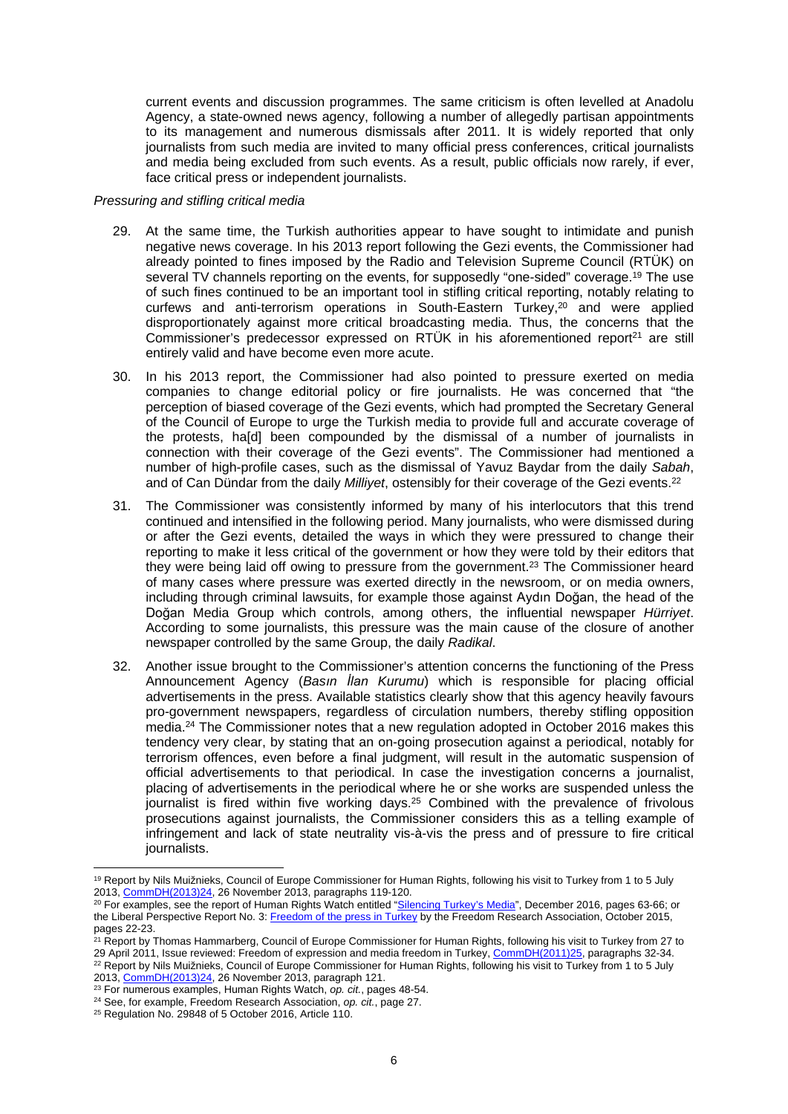current events and discussion programmes. The same criticism is often levelled at Anadolu Agency, a state-owned news agency, following a number of allegedly partisan appointments to its management and numerous dismissals after 2011. It is widely reported that only journalists from such media are invited to many official press conferences, critical journalists and media being excluded from such events. As a result, public officials now rarely, if ever, face critical press or independent journalists.

## *Pressuring and stifling critical media*

- 29. At the same time, the Turkish authorities appear to have sought to intimidate and punish negative news coverage. In his 2013 report following the Gezi events, the Commissioner had already pointed to fines imposed by the Radio and Television Supreme Council (RTÜK) on several TV channels reporting on the events, for supposedly "one-sided" coverage.<sup>19</sup> The use of such fines continued to be an important tool in stifling critical reporting, notably relating to curfews and anti-terrorism operations in South-Eastern Turkey, $2^{\circ}$  and were applied disproportionately against more critical broadcasting media. Thus, the concerns that the Commissioner's predecessor expressed on RTÜK in his aforementioned report<sup>21</sup> are still entirely valid and have become even more acute.
- 30. In his 2013 report, the Commissioner had also pointed to pressure exerted on media companies to change editorial policy or fire journalists. He was concerned that "the perception of biased coverage of the Gezi events, which had prompted the Secretary General of the Council of Europe to urge the Turkish media to provide full and accurate coverage of the protests, ha[d] been compounded by the dismissal of a number of journalists in connection with their coverage of the Gezi events". The Commissioner had mentioned a number of high-profile cases, such as the dismissal of Yavuz Baydar from the daily *Sabah*, and of Can Dündar from the daily *Milliyet*, ostensibly for their coverage of the Gezi events.<sup>22</sup>
- 31. The Commissioner was consistently informed by many of his interlocutors that this trend continued and intensified in the following period. Many journalists, who were dismissed during or after the Gezi events, detailed the ways in which they were pressured to change their reporting to make it less critical of the government or how they were told by their editors that they were being laid off owing to pressure from the government.<sup>23</sup> The Commissioner heard of many cases where pressure was exerted directly in the newsroom, or on media owners, including through criminal lawsuits, for example those against Aydın Doğan, the head of the Doğan Media Group which controls, among others, the influential newspaper *Hürriyet*. According to some journalists, this pressure was the main cause of the closure of another newspaper controlled by the same Group, the daily *Radikal*.
- 32. Another issue brought to the Commissioner's attention concerns the functioning of the Press Announcement Agency (*Basın İlan Kurumu*) which is responsible for placing official advertisements in the press. Available statistics clearly show that this agency heavily favours pro-government newspapers, regardless of circulation numbers, thereby stifling opposition media.<sup>24</sup> The Commissioner notes that a new regulation adopted in October 2016 makes this tendency very clear, by stating that an on-going prosecution against a periodical, notably for terrorism offences, even before a final judgment, will result in the automatic suspension of official advertisements to that periodical. In case the investigation concerns a journalist, placing of advertisements in the periodical where he or she works are suspended unless the journalist is fired within five working days.<sup>25</sup> Combined with the prevalence of frivolous prosecutions against journalists, the Commissioner considers this as a telling example of infringement and lack of state neutrality vis-à-vis the press and of pressure to fire critical journalists.

<sup>19</sup> Report by Nils Muižnieks, Council of Europe Commissioner for Human Rights, following his visit to Turkey from 1 to 5 July 2013, [CommDH\(2013\)24](https://wcd.coe.int/ViewDoc.jsp?p=&id=2129689&direct=true), 26 November 2013, paragraphs 119-120.

<sup>&</sup>lt;sup>20</sup> For examples, see the report of Human Rights Watch entitled "[Silencing Turkey's Media](https://www.hrw.org/sites/default/files/report_pdf/turkey1216_web.pdf)", December 2016, pages 63-66; or the Liberal Perspective Report No. 3: [Freedom of the press in Turkey](http://www.ozgurlukarastirmalari.com/pdf/rapor/OAD_9E5IWyK.pdf) by the Freedom Research Association, October 2015, pages 22-23.

<sup>21</sup> Report by Thomas Hammarberg, Council of Europe Commissioner for Human Rights, following his visit to Turkey from 27 to 29 April 2011, Issue reviewed: Freedom of expression and media freedom in Turkey, [CommDH\(2011\)25,](https://wcd.coe.int/ViewDoc.jsp?id=1814085) paragraphs 32-34. <sup>22</sup> Report by Nils Muižnieks, Council of Europe Commissioner for Human Rights, following his visit to Turkey from 1 to 5 July 2013, [CommDH\(2013\)24](https://wcd.coe.int/ViewDoc.jsp?p=&id=2129689&direct=true), 26 November 2013, paragraph 121.

<sup>23</sup> For numerous examples, Human Rights Watch, *op. cit.*, pages 48-54.

<sup>24</sup> See, for example, Freedom Research Association, *op. cit.*, page 27.

<sup>25</sup> Regulation No. 29848 of 5 October 2016, Article 110.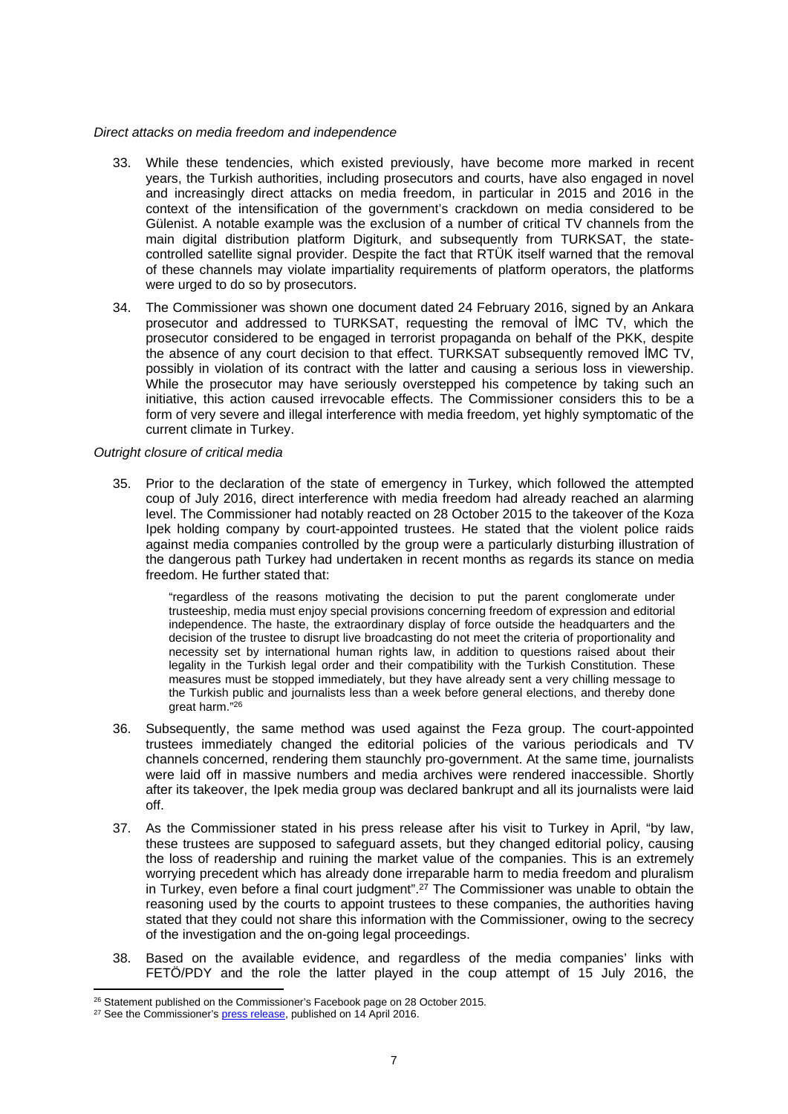### *Direct attacks on media freedom and independence*

- 33. While these tendencies, which existed previously, have become more marked in recent years, the Turkish authorities, including prosecutors and courts, have also engaged in novel and increasingly direct attacks on media freedom, in particular in 2015 and 2016 in the context of the intensification of the government's crackdown on media considered to be Gülenist. A notable example was the exclusion of a number of critical TV channels from the main digital distribution platform Digiturk, and subsequently from TURKSAT, the statecontrolled satellite signal provider. Despite the fact that RTÜK itself warned that the removal of these channels may violate impartiality requirements of platform operators, the platforms were urged to do so by prosecutors.
- 34. The Commissioner was shown one document dated 24 February 2016, signed by an Ankara prosecutor and addressed to TURKSAT, requesting the removal of İMC TV, which the prosecutor considered to be engaged in terrorist propaganda on behalf of the PKK, despite the absence of any court decision to that effect. TURKSAT subsequently removed İMC TV, possibly in violation of its contract with the latter and causing a serious loss in viewership. While the prosecutor may have seriously overstepped his competence by taking such an initiative, this action caused irrevocable effects. The Commissioner considers this to be a form of very severe and illegal interference with media freedom, yet highly symptomatic of the current climate in Turkey.

#### *Outright closure of critical media*

35. Prior to the declaration of the state of emergency in Turkey, which followed the attempted coup of July 2016, direct interference with media freedom had already reached an alarming level. The Commissioner had notably reacted on 28 October 2015 to the takeover of the Koza Ipek holding company by court-appointed trustees. He stated that the violent police raids against media companies controlled by the group were a particularly disturbing illustration of the dangerous path Turkey had undertaken in recent months as regards its stance on media freedom. He further stated that:

"regardless of the reasons motivating the decision to put the parent conglomerate under trusteeship, media must enjoy special provisions concerning freedom of expression and editorial independence. The haste, the extraordinary display of force outside the headquarters and the decision of the trustee to disrupt live broadcasting do not meet the criteria of proportionality and necessity set by international human rights law, in addition to questions raised about their legality in the Turkish legal order and their compatibility with the Turkish Constitution. These measures must be stopped immediately, but they have already sent a very chilling message to the Turkish public and journalists less than a week before general elections, and thereby done great harm."<sup>26</sup>

- 36. Subsequently, the same method was used against the Feza group. The court-appointed trustees immediately changed the editorial policies of the various periodicals and TV channels concerned, rendering them staunchly pro-government. At the same time, journalists were laid off in massive numbers and media archives were rendered inaccessible. Shortly after its takeover, the Ipek media group was declared bankrupt and all its journalists were laid off.
- 37. As the Commissioner stated in his press release after his visit to Turkey in April, "by law, these trustees are supposed to safeguard assets, but they changed editorial policy, causing the loss of readership and ruining the market value of the companies. This is an extremely worrying precedent which has already done irreparable harm to media freedom and pluralism in Turkey, even before a final court judgment".<sup>27</sup> The Commissioner was unable to obtain the reasoning used by the courts to appoint trustees to these companies, the authorities having stated that they could not share this information with the Commissioner, owing to the secrecy of the investigation and the on-going legal proceedings.
- 38. Based on the available evidence, and regardless of the media companies' links with FETÖ/PDY and the role the latter played in the coup attempt of 15 July 2016, the

<sup>&</sup>lt;sup>26</sup> Statement published on the Commissioner's Facebook page on 28 October 2015.

<sup>&</sup>lt;sup>27</sup> See the Commissioner's [press release,](http://www.coe.int/en/web/commissioner/-/turkey-security-trumping-human-rights-free-expression-under-threat?inheritRedirect=true&redirect=%2Fen%2Fweb%2Fcommissioner%2Fcountry-report%2Fturkey) published on 14 April 2016.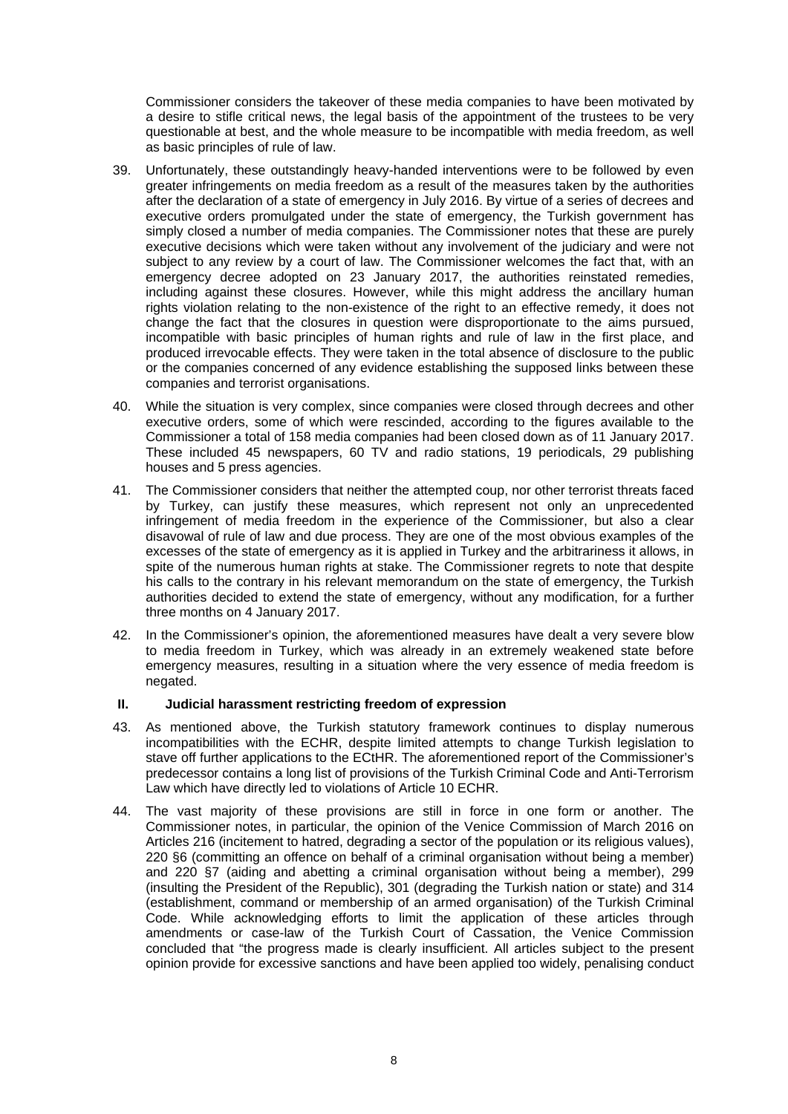Commissioner considers the takeover of these media companies to have been motivated by a desire to stifle critical news, the legal basis of the appointment of the trustees to be very questionable at best, and the whole measure to be incompatible with media freedom, as well as basic principles of rule of law.

- 39. Unfortunately, these outstandingly heavy-handed interventions were to be followed by even greater infringements on media freedom as a result of the measures taken by the authorities after the declaration of a state of emergency in July 2016. By virtue of a series of decrees and executive orders promulgated under the state of emergency, the Turkish government has simply closed a number of media companies. The Commissioner notes that these are purely executive decisions which were taken without any involvement of the judiciary and were not subject to any review by a court of law. The Commissioner welcomes the fact that, with an emergency decree adopted on 23 January 2017, the authorities reinstated remedies, including against these closures. However, while this might address the ancillary human rights violation relating to the non-existence of the right to an effective remedy, it does not change the fact that the closures in question were disproportionate to the aims pursued, incompatible with basic principles of human rights and rule of law in the first place, and produced irrevocable effects. They were taken in the total absence of disclosure to the public or the companies concerned of any evidence establishing the supposed links between these companies and terrorist organisations.
- 40. While the situation is very complex, since companies were closed through decrees and other executive orders, some of which were rescinded, according to the figures available to the Commissioner a total of 158 media companies had been closed down as of 11 January 2017. These included 45 newspapers, 60 TV and radio stations, 19 periodicals, 29 publishing houses and 5 press agencies.
- 41. The Commissioner considers that neither the attempted coup, nor other terrorist threats faced by Turkey, can justify these measures, which represent not only an unprecedented infringement of media freedom in the experience of the Commissioner, but also a clear disavowal of rule of law and due process. They are one of the most obvious examples of the excesses of the state of emergency as it is applied in Turkey and the arbitrariness it allows, in spite of the numerous human rights at stake. The Commissioner regrets to note that despite his calls to the contrary in his relevant memorandum on the state of emergency, the Turkish authorities decided to extend the state of emergency, without any modification, for a further three months on 4 January 2017.
- 42. In the Commissioner's opinion, the aforementioned measures have dealt a very severe blow to media freedom in Turkey, which was already in an extremely weakened state before emergency measures, resulting in a situation where the very essence of media freedom is negated.

## **II. Judicial harassment restricting freedom of expression**

- 43. As mentioned above, the Turkish statutory framework continues to display numerous incompatibilities with the ECHR, despite limited attempts to change Turkish legislation to stave off further applications to the ECtHR. The aforementioned report of the Commissioner's predecessor contains a long list of provisions of the Turkish Criminal Code and Anti-Terrorism Law which have directly led to violations of Article 10 ECHR.
- 44. The vast majority of these provisions are still in force in one form or another. The Commissioner notes, in particular, the opinion of the Venice Commission of March 2016 on Articles 216 (incitement to hatred, degrading a sector of the population or its religious values), 220 §6 (committing an offence on behalf of a criminal organisation without being a member) and 220 §7 (aiding and abetting a criminal organisation without being a member), 299 (insulting the President of the Republic), 301 (degrading the Turkish nation or state) and 314 (establishment, command or membership of an armed organisation) of the Turkish Criminal Code. While acknowledging efforts to limit the application of these articles through amendments or case-law of the Turkish Court of Cassation, the Venice Commission concluded that "the progress made is clearly insufficient. All articles subject to the present opinion provide for excessive sanctions and have been applied too widely, penalising conduct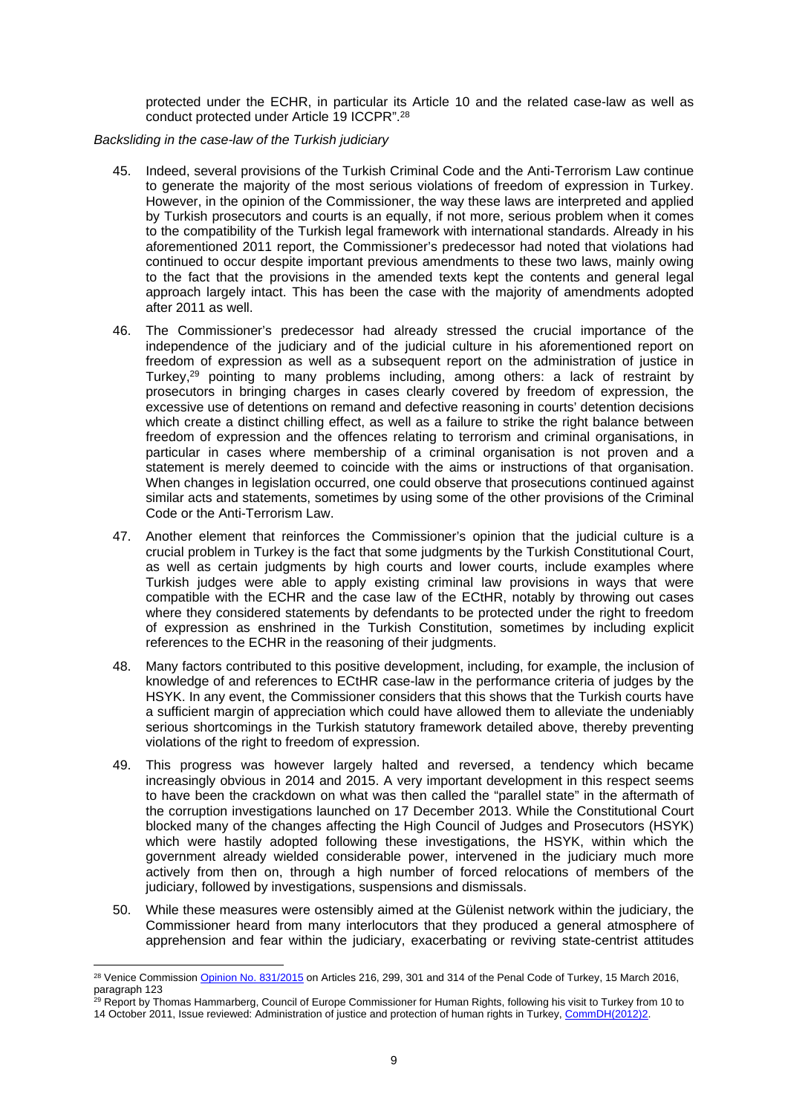protected under the ECHR, in particular its Article 10 and the related case-law as well as conduct protected under Article 19 ICCPR".<sup>28</sup>

*Backsliding in the case-law of the Turkish judiciary*

- 45. Indeed, several provisions of the Turkish Criminal Code and the Anti-Terrorism Law continue to generate the majority of the most serious violations of freedom of expression in Turkey. However, in the opinion of the Commissioner, the way these laws are interpreted and applied by Turkish prosecutors and courts is an equally, if not more, serious problem when it comes to the compatibility of the Turkish legal framework with international standards. Already in his aforementioned 2011 report, the Commissioner's predecessor had noted that violations had continued to occur despite important previous amendments to these two laws, mainly owing to the fact that the provisions in the amended texts kept the contents and general legal approach largely intact. This has been the case with the majority of amendments adopted after 2011 as well.
- 46. The Commissioner's predecessor had already stressed the crucial importance of the independence of the judiciary and of the judicial culture in his aforementioned report on freedom of expression as well as a subsequent report on the administration of justice in Turkey,<sup>29</sup> pointing to many problems including, among others: a lack of restraint by prosecutors in bringing charges in cases clearly covered by freedom of expression, the excessive use of detentions on remand and defective reasoning in courts' detention decisions which create a distinct chilling effect, as well as a failure to strike the right balance between freedom of expression and the offences relating to terrorism and criminal organisations, in particular in cases where membership of a criminal organisation is not proven and a statement is merely deemed to coincide with the aims or instructions of that organisation. When changes in legislation occurred, one could observe that prosecutions continued against similar acts and statements, sometimes by using some of the other provisions of the Criminal Code or the Anti-Terrorism Law.
- 47. Another element that reinforces the Commissioner's opinion that the judicial culture is a crucial problem in Turkey is the fact that some judgments by the Turkish Constitutional Court, as well as certain judgments by high courts and lower courts, include examples where Turkish judges were able to apply existing criminal law provisions in ways that were compatible with the ECHR and the case law of the ECtHR, notably by throwing out cases where they considered statements by defendants to be protected under the right to freedom of expression as enshrined in the Turkish Constitution, sometimes by including explicit references to the ECHR in the reasoning of their judgments.
- 48. Many factors contributed to this positive development, including, for example, the inclusion of knowledge of and references to ECtHR case-law in the performance criteria of judges by the HSYK. In any event, the Commissioner considers that this shows that the Turkish courts have a sufficient margin of appreciation which could have allowed them to alleviate the undeniably serious shortcomings in the Turkish statutory framework detailed above, thereby preventing violations of the right to freedom of expression.
- 49. This progress was however largely halted and reversed, a tendency which became increasingly obvious in 2014 and 2015. A very important development in this respect seems to have been the crackdown on what was then called the "parallel state" in the aftermath of the corruption investigations launched on 17 December 2013. While the Constitutional Court blocked many of the changes affecting the High Council of Judges and Prosecutors (HSYK) which were hastily adopted following these investigations, the HSYK, within which the government already wielded considerable power, intervened in the judiciary much more actively from then on, through a high number of forced relocations of members of the judiciary, followed by investigations, suspensions and dismissals.
- 50. While these measures were ostensibly aimed at the Gülenist network within the judiciary, the Commissioner heard from many interlocutors that they produced a general atmosphere of apprehension and fear within the judiciary, exacerbating or reviving state-centrist attitudes

<sup>29</sup> Report by Thomas Hammarberg, Council of Europe Commissioner for Human Rights, following his visit to Turkey from 10 to 14 October 2011, Issue reviewed: Administration of justice and protection of human rights in Turkey, [CommDH\(2012\)2.](https://wcd.coe.int/ViewDoc.jsp?id=1892381)

<sup>28</sup> Venice Commission [Opinion No. 831/2015](http://www.venice.coe.int/webforms/documents/?pdf=CDL-AD(2016)002-e) on Articles 216, 299, 301 and 314 of the Penal Code of Turkey, 15 March 2016, paragraph 123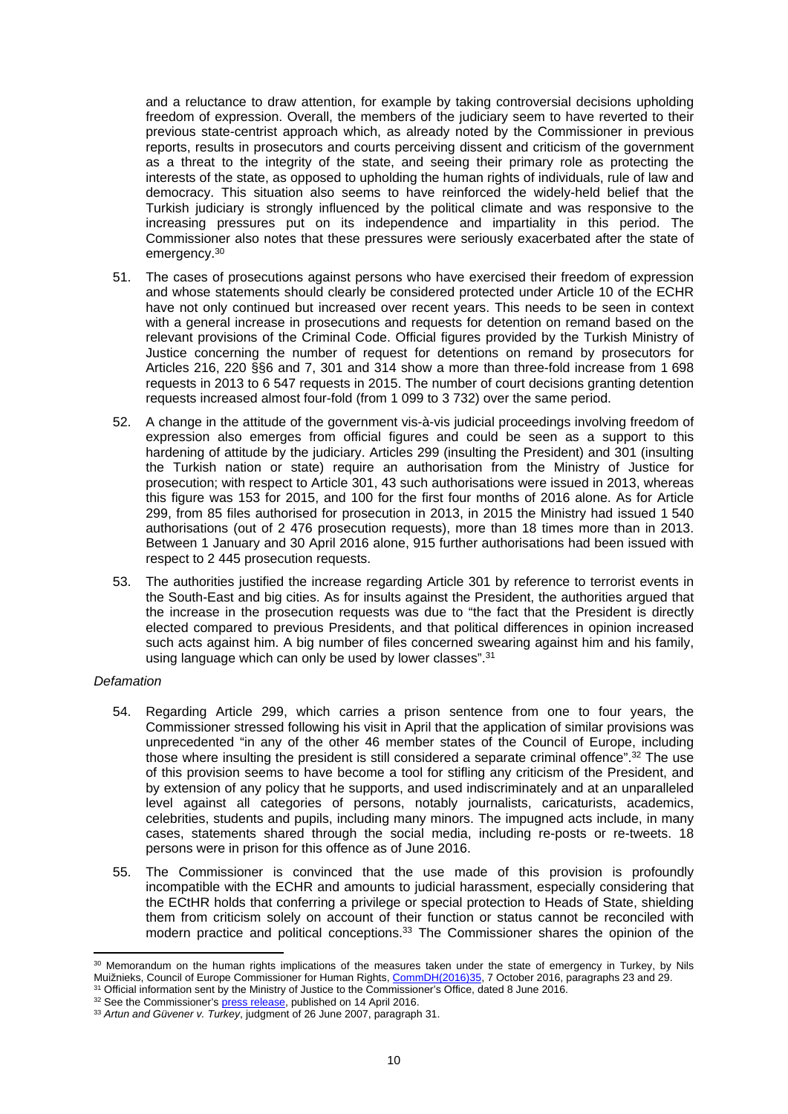and a reluctance to draw attention, for example by taking controversial decisions upholding freedom of expression. Overall, the members of the judiciary seem to have reverted to their previous state-centrist approach which, as already noted by the Commissioner in previous reports, results in prosecutors and courts perceiving dissent and criticism of the government as a threat to the integrity of the state, and seeing their primary role as protecting the interests of the state, as opposed to upholding the human rights of individuals, rule of law and democracy. This situation also seems to have reinforced the widely-held belief that the Turkish judiciary is strongly influenced by the political climate and was responsive to the increasing pressures put on its independence and impartiality in this period. The Commissioner also notes that these pressures were seriously exacerbated after the state of emergency.<sup>30</sup>

- 51. The cases of prosecutions against persons who have exercised their freedom of expression and whose statements should clearly be considered protected under Article 10 of the ECHR have not only continued but increased over recent years. This needs to be seen in context with a general increase in prosecutions and requests for detention on remand based on the relevant provisions of the Criminal Code. Official figures provided by the Turkish Ministry of Justice concerning the number of request for detentions on remand by prosecutors for Articles 216, 220 §§6 and 7, 301 and 314 show a more than three-fold increase from 1 698 requests in 2013 to 6 547 requests in 2015. The number of court decisions granting detention requests increased almost four-fold (from 1 099 to 3 732) over the same period.
- 52. A change in the attitude of the government vis-à-vis judicial proceedings involving freedom of expression also emerges from official figures and could be seen as a support to this hardening of attitude by the judiciary. Articles 299 (insulting the President) and 301 (insulting the Turkish nation or state) require an authorisation from the Ministry of Justice for prosecution; with respect to Article 301, 43 such authorisations were issued in 2013, whereas this figure was 153 for 2015, and 100 for the first four months of 2016 alone. As for Article 299, from 85 files authorised for prosecution in 2013, in 2015 the Ministry had issued 1 540 authorisations (out of 2 476 prosecution requests), more than 18 times more than in 2013. Between 1 January and 30 April 2016 alone, 915 further authorisations had been issued with respect to 2 445 prosecution requests.
- 53. The authorities justified the increase regarding Article 301 by reference to terrorist events in the South-East and big cities. As for insults against the President, the authorities argued that the increase in the prosecution requests was due to "the fact that the President is directly elected compared to previous Presidents, and that political differences in opinion increased such acts against him. A big number of files concerned swearing against him and his family, using language which can only be used by lower classes".<sup>31</sup>

### *Defamation*

- 54. Regarding Article 299, which carries a prison sentence from one to four years, the Commissioner stressed following his visit in April that the application of similar provisions was unprecedented "in any of the other 46 member states of the Council of Europe, including those where insulting the president is still considered a separate criminal offence".<sup>32</sup> The use of this provision seems to have become a tool for stifling any criticism of the President, and by extension of any policy that he supports, and used indiscriminately and at an unparalleled level against all categories of persons, notably journalists, caricaturists, academics, celebrities, students and pupils, including many minors. The impugned acts include, in many cases, statements shared through the social media, including re-posts or re-tweets. 18 persons were in prison for this offence as of June 2016.
- 55. The Commissioner is convinced that the use made of this provision is profoundly incompatible with the ECHR and amounts to judicial harassment, especially considering that the ECtHR holds that conferring a privilege or special protection to Heads of State, shielding them from criticism solely on account of their function or status cannot be reconciled with modern practice and political conceptions.<sup>33</sup> The Commissioner shares the opinion of the

<sup>30</sup> Memorandum on the human rights implications of the measures taken under the state of emergency in Turkey, by Nils Muižnieks, Council of Europe Commissioner for Human Rights, [CommDH\(2016\)35,](https://wcd.coe.int/ViewDoc.jsp?p=&Ref=CommDH(2016)35&Language=lanAll&direct=true) 7 October 2016, paragraphs 23 and 29.

<sup>&</sup>lt;sup>31</sup> Official information sent by the Ministry of Justice to the Commissioner's Office, dated 8 June 2016.

<sup>&</sup>lt;sup>32</sup> See the Commissioner's [press release,](http://www.coe.int/en/web/commissioner/-/turkey-security-trumping-human-rights-free-expression-under-threat?inheritRedirect=true&redirect=%2Fen%2Fweb%2Fcommissioner%2Fcountry-report%2Fturkey) published on 14 April 2016.

<sup>33</sup> *Artun and Güvener v. Turkey*, judgment of 26 June 2007, paragraph 31.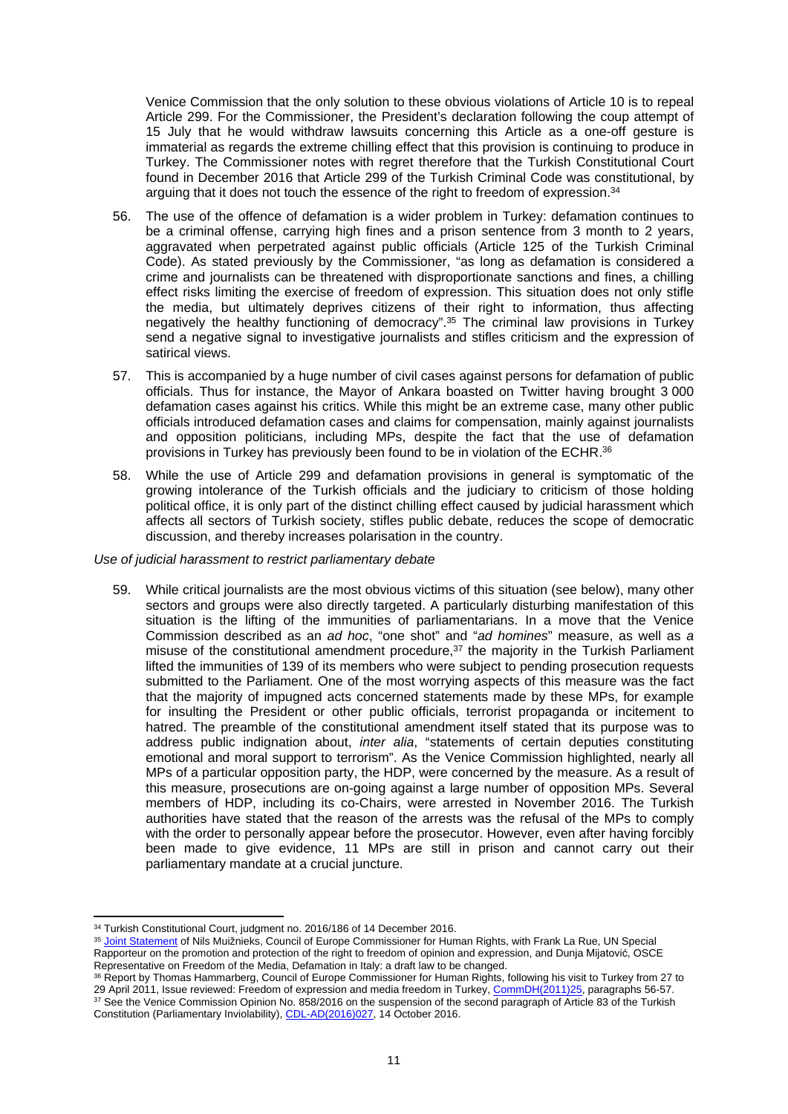Venice Commission that the only solution to these obvious violations of Article 10 is to repeal Article 299. For the Commissioner, the President's declaration following the coup attempt of 15 July that he would withdraw lawsuits concerning this Article as a one-off gesture is immaterial as regards the extreme chilling effect that this provision is continuing to produce in Turkey. The Commissioner notes with regret therefore that the Turkish Constitutional Court found in December 2016 that Article 299 of the Turkish Criminal Code was constitutional, by arguing that it does not touch the essence of the right to freedom of expression.<sup>34</sup>

- 56. The use of the offence of defamation is a wider problem in Turkey: defamation continues to be a criminal offense, carrying high fines and a prison sentence from 3 month to 2 years, aggravated when perpetrated against public officials (Article 125 of the Turkish Criminal Code). As stated previously by the Commissioner, "as long as defamation is considered a crime and journalists can be threatened with disproportionate sanctions and fines, a chilling effect risks limiting the exercise of freedom of expression. This situation does not only stifle the media, but ultimately deprives citizens of their right to information, thus affecting negatively the healthy functioning of democracy".<sup>35</sup> The criminal law provisions in Turkey send a negative signal to investigative journalists and stifles criticism and the expression of satirical views.
- 57. This is accompanied by a huge number of civil cases against persons for defamation of public officials. Thus for instance, the Mayor of Ankara boasted on Twitter having brought 3 000 defamation cases against his critics. While this might be an extreme case, many other public officials introduced defamation cases and claims for compensation, mainly against journalists and opposition politicians, including MPs, despite the fact that the use of defamation provisions in Turkey has previously been found to be in violation of the ECHR.<sup>36</sup>
- 58. While the use of Article 299 and defamation provisions in general is symptomatic of the growing intolerance of the Turkish officials and the judiciary to criticism of those holding political office, it is only part of the distinct chilling effect caused by judicial harassment which affects all sectors of Turkish society, stifles public debate, reduces the scope of democratic discussion, and thereby increases polarisation in the country.

#### *Use of judicial harassment to restrict parliamentary debate*

59. While critical journalists are the most obvious victims of this situation (see below), many other sectors and groups were also directly targeted. A particularly disturbing manifestation of this situation is the lifting of the immunities of parliamentarians. In a move that the Venice Commission described as an *ad hoc*, "one shot" and "*ad homines*" measure, as well as *a* misuse of the constitutional amendment procedure, $37$  the majority in the Turkish Parliament lifted the immunities of 139 of its members who were subject to pending prosecution requests submitted to the Parliament. One of the most worrying aspects of this measure was the fact that the majority of impugned acts concerned statements made by these MPs, for example for insulting the President or other public officials, terrorist propaganda or incitement to hatred. The preamble of the constitutional amendment itself stated that its purpose was to address public indignation about, *inter alia*, "statements of certain deputies constituting emotional and moral support to terrorism". As the Venice Commission highlighted, nearly all MPs of a particular opposition party, the HDP, were concerned by the measure. As a result of this measure, prosecutions are on-going against a large number of opposition MPs. Several members of HDP, including its co-Chairs, were arrested in November 2016. The Turkish authorities have stated that the reason of the arrests was the refusal of the MPs to comply with the order to personally appear before the prosecutor. However, even after having forcibly been made to give evidence, 11 MPs are still in prison and cannot carry out their parliamentary mandate at a crucial juncture.

35 [Joint Statement](http://www.coe.int/en/web/commissioner/-/defamation-in-italy-a-draft-law-to-be-changed) of Nils Muižnieks, Council of Europe Commissioner for Human Rights, with Frank La Rue, UN Special Rapporteur on the promotion and protection of the right to freedom of opinion and expression, and Dunja Mijatović, OSCE Representative on Freedom of the Media, Defamation in Italy: a draft law to be changed.

<sup>&</sup>lt;sup>34</sup> Turkish Constitutional Court, judgment no. 2016/186 of 14 December 2016.

<sup>36</sup> Report by Thomas Hammarberg, Council of Europe Commissioner for Human Rights, following his visit to Turkey from 27 to 29 April 2011, Issue reviewed: Freedom of expression and media freedom in Turkey, [CommDH\(2011\)25,](https://wcd.coe.int/ViewDoc.jsp?id=1814085) paragraphs 56-57. <sup>37</sup> See the Venice Commission Opinion No. 858/2016 on the suspension of the second paragraph of Article 83 of the Turkish Constitution (Parliamentary Inviolability), [CDL-AD\(2016\)027](http://www.venice.coe.int/webforms/documents/?pdf=CDL-AD(2016)027-e), 14 October 2016.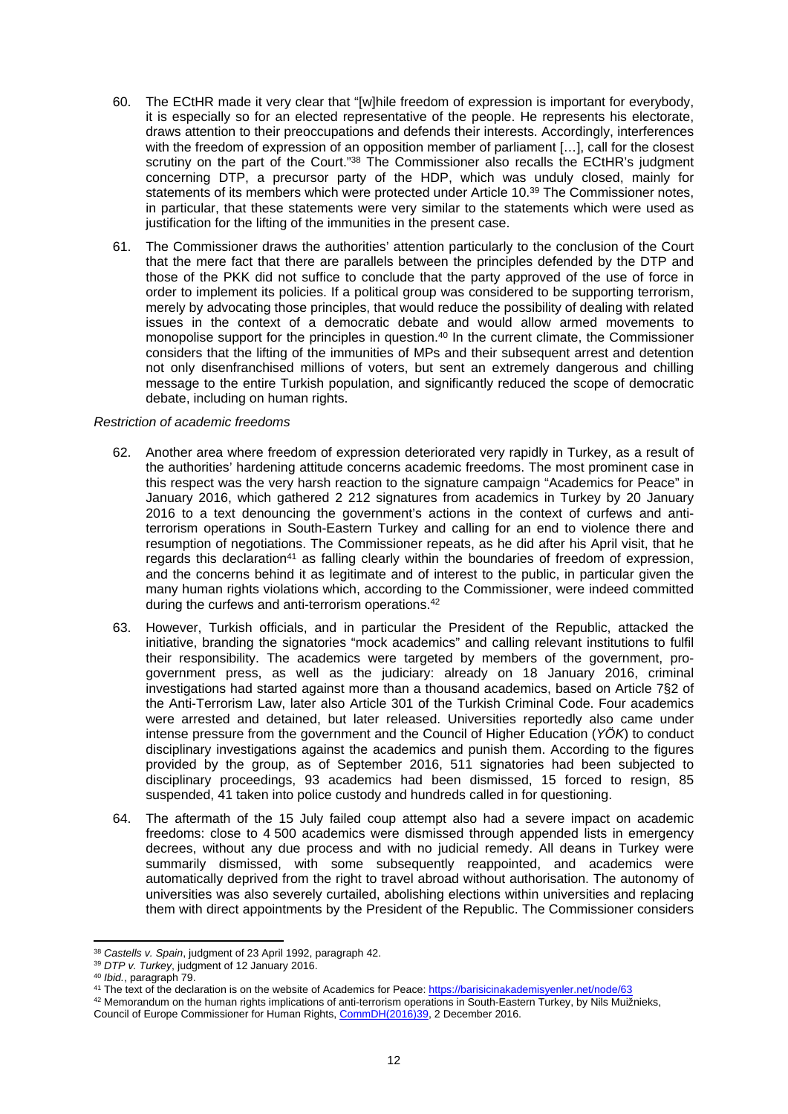- 60. The ECtHR made it very clear that "[w]hile freedom of expression is important for everybody, it is especially so for an elected representative of the people. He represents his electorate, draws attention to their preoccupations and defends their interests. Accordingly, interferences with the freedom of expression of an opposition member of parliament [...], call for the closest scrutiny on the part of the Court."<sup>38</sup> The Commissioner also recalls the ECtHR's judgment concerning DTP, a precursor party of the HDP, which was unduly closed, mainly for statements of its members which were protected under Article 10.<sup>39</sup> The Commissioner notes, in particular, that these statements were very similar to the statements which were used as justification for the lifting of the immunities in the present case.
- 61. The Commissioner draws the authorities' attention particularly to the conclusion of the Court that the mere fact that there are parallels between the principles defended by the DTP and those of the PKK did not suffice to conclude that the party approved of the use of force in order to implement its policies. If a political group was considered to be supporting terrorism, merely by advocating those principles, that would reduce the possibility of dealing with related issues in the context of a democratic debate and would allow armed movements to monopolise support for the principles in question.<sup>40</sup> In the current climate, the Commissioner considers that the lifting of the immunities of MPs and their subsequent arrest and detention not only disenfranchised millions of voters, but sent an extremely dangerous and chilling message to the entire Turkish population, and significantly reduced the scope of democratic debate, including on human rights.

### *Restriction of academic freedoms*

- 62. Another area where freedom of expression deteriorated very rapidly in Turkey, as a result of the authorities' hardening attitude concerns academic freedoms. The most prominent case in this respect was the very harsh reaction to the signature campaign "Academics for Peace" in January 2016, which gathered 2 212 signatures from academics in Turkey by 20 January 2016 to a text denouncing the government's actions in the context of curfews and antiterrorism operations in South-Eastern Turkey and calling for an end to violence there and resumption of negotiations. The Commissioner repeats, as he did after his April visit, that he regards this declaration<sup>41</sup> as falling clearly within the boundaries of freedom of expression, and the concerns behind it as legitimate and of interest to the public, in particular given the many human rights violations which, according to the Commissioner, were indeed committed during the curfews and anti-terrorism operations.<sup>42</sup>
- 63. However, Turkish officials, and in particular the President of the Republic, attacked the initiative, branding the signatories "mock academics" and calling relevant institutions to fulfil their responsibility. The academics were targeted by members of the government, progovernment press, as well as the judiciary: already on 18 January 2016, criminal investigations had started against more than a thousand academics, based on Article 7§2 of the Anti-Terrorism Law, later also Article 301 of the Turkish Criminal Code. Four academics were arrested and detained, but later released. Universities reportedly also came under intense pressure from the government and the Council of Higher Education (*YÖK*) to conduct disciplinary investigations against the academics and punish them. According to the figures provided by the group, as of September 2016, 511 signatories had been subjected to disciplinary proceedings, 93 academics had been dismissed, 15 forced to resign, 85 suspended, 41 taken into police custody and hundreds called in for questioning.
- 64. The aftermath of the 15 July failed coup attempt also had a severe impact on academic freedoms: close to 4 500 academics were dismissed through appended lists in emergency decrees, without any due process and with no judicial remedy. All deans in Turkey were summarily dismissed, with some subsequently reappointed, and academics were automatically deprived from the right to travel abroad without authorisation. The autonomy of universities was also severely curtailed, abolishing elections within universities and replacing them with direct appointments by the President of the Republic. The Commissioner considers

<sup>38</sup> *Castells v. Spain*, judgment of 23 April 1992, paragraph 42.

<sup>39</sup> *DTP v. Turkey*, judgment of 12 January 2016.

<sup>40</sup> *Ibid.*, paragraph 79.

<sup>41</sup> The text of the declaration is on the website of Academics for Peace:<https://barisicinakademisyenler.net/node/63>

 $42$  Memorandum on the human rights implications of anti-terrorism operations in South-Eastern Turkey, by Nils Muižnieks, Council of Europe Commissioner for Human Rights, [CommDH\(2016\)39,](https://wcd.coe.int/ViewDoc.jsp?p=&Ref=CommDH(2016)39) 2 December 2016.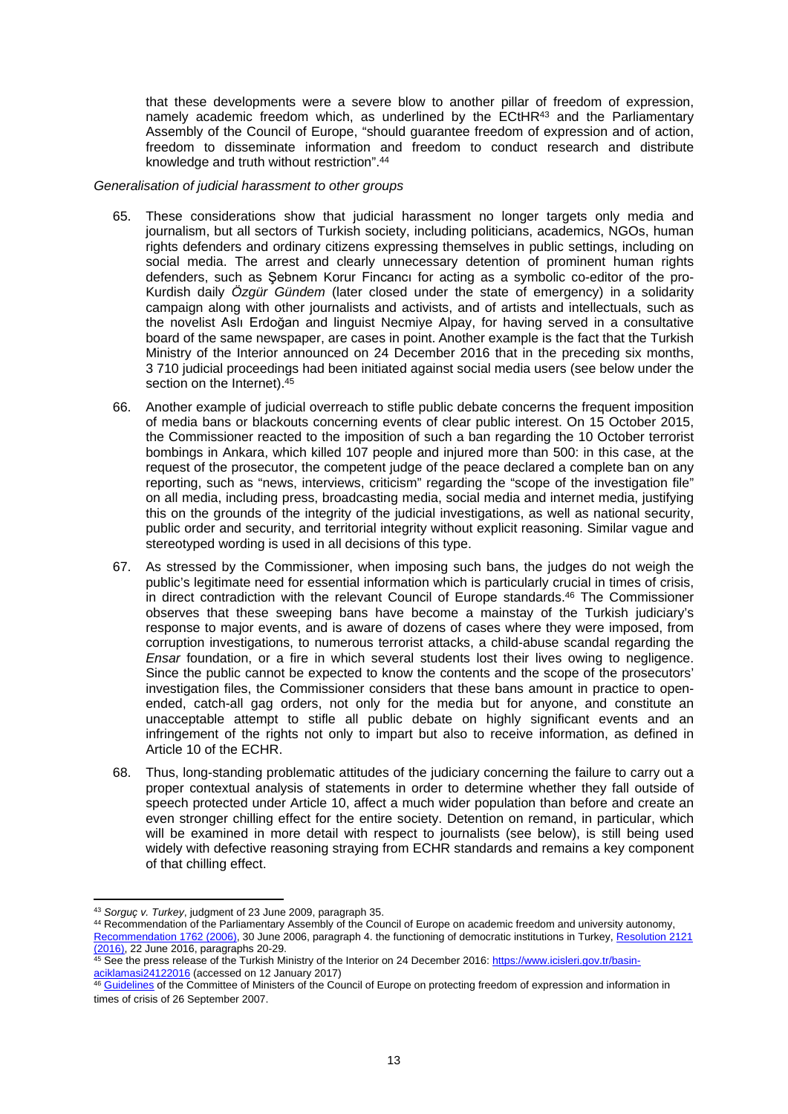that these developments were a severe blow to another pillar of freedom of expression, namely academic freedom which, as underlined by the ECtHR<sup>43</sup> and the Parliamentary Assembly of the Council of Europe, "should guarantee freedom of expression and of action, freedom to disseminate information and freedom to conduct research and distribute knowledge and truth without restriction".<sup>44</sup>

#### *Generalisation of judicial harassment to other groups*

- 65. These considerations show that judicial harassment no longer targets only media and journalism, but all sectors of Turkish society, including politicians, academics, NGOs, human rights defenders and ordinary citizens expressing themselves in public settings, including on social media. The arrest and clearly unnecessary detention of prominent human rights defenders, such as Şebnem Korur Fincancı for acting as a symbolic co-editor of the pro-Kurdish daily *Özgür Gündem* (later closed under the state of emergency) in a solidarity campaign along with other journalists and activists, and of artists and intellectuals, such as the novelist Aslı Erdoğan and linguist Necmiye Alpay, for having served in a consultative board of the same newspaper, are cases in point. Another example is the fact that the Turkish Ministry of the Interior announced on 24 December 2016 that in the preceding six months, 3 710 judicial proceedings had been initiated against social media users (see below under the section on the Internet).<sup>45</sup>
- 66. Another example of judicial overreach to stifle public debate concerns the frequent imposition of media bans or blackouts concerning events of clear public interest. On 15 October 2015, the Commissioner reacted to the imposition of such a ban regarding the 10 October terrorist bombings in Ankara, which killed 107 people and injured more than 500: in this case, at the request of the prosecutor, the competent judge of the peace declared a complete ban on any reporting, such as "news, interviews, criticism" regarding the "scope of the investigation file" on all media, including press, broadcasting media, social media and internet media, justifying this on the grounds of the integrity of the judicial investigations, as well as national security, public order and security, and territorial integrity without explicit reasoning. Similar vague and stereotyped wording is used in all decisions of this type.
- 67. As stressed by the Commissioner, when imposing such bans, the judges do not weigh the public's legitimate need for essential information which is particularly crucial in times of crisis, in direct contradiction with the relevant Council of Europe standards.<sup>46</sup> The Commissioner observes that these sweeping bans have become a mainstay of the Turkish judiciary's response to major events, and is aware of dozens of cases where they were imposed, from corruption investigations, to numerous terrorist attacks, a child-abuse scandal regarding the *Ensar* foundation, or a fire in which several students lost their lives owing to negligence. Since the public cannot be expected to know the contents and the scope of the prosecutors' investigation files, the Commissioner considers that these bans amount in practice to openended, catch-all gag orders, not only for the media but for anyone, and constitute an unacceptable attempt to stifle all public debate on highly significant events and an infringement of the rights not only to impart but also to receive information, as defined in Article 10 of the ECHR.
- 68. Thus, long-standing problematic attitudes of the judiciary concerning the failure to carry out a proper contextual analysis of statements in order to determine whether they fall outside of speech protected under Article 10, affect a much wider population than before and create an even stronger chilling effect for the entire society. Detention on remand, in particular, which will be examined in more detail with respect to journalists (see below), is still being used widely with defective reasoning straying from ECHR standards and remains a key component of that chilling effect.

<sup>43</sup> *Sorguç v. Turkey*, judgment of 23 June 2009, paragraph 35.

<sup>44</sup> Recommendation of the Parliamentary Assembly of the Council of Europe on academic freedom and university autonomy, [Recommendation 1762 \(2006\),](http://assembly.coe.int/nw/xml/XRef/Xref-XML2HTML-en.asp?fileid=17469&lang=en) 30 June 2006, paragraph 4. the functioning of democratic institutions in Turkey, [Resolution 2121](http://assembly.coe.int/nw/xml/XRef/Xref-DocDetails-EN.asp?fileid=22957&lang=EN&search=KjoqfGNhdGVnb3J5X3N0cl9lbjoiQWRvcHRlZCB0ZXh0InxzZXNzaW9ucGFydF9zdHJfZW46IjIwMTYgLSBUaGlyZCBwYXJ0LXNlc3Npb24i) 

[<sup>\(2016\)</sup>](http://assembly.coe.int/nw/xml/XRef/Xref-DocDetails-EN.asp?fileid=22957&lang=EN&search=KjoqfGNhdGVnb3J5X3N0cl9lbjoiQWRvcHRlZCB0ZXh0InxzZXNzaW9ucGFydF9zdHJfZW46IjIwMTYgLSBUaGlyZCBwYXJ0LXNlc3Npb24i), 22 June 2016, paragraphs 20-29.

<sup>45</sup> See the press release of the Turkish Ministry of the Interior on 24 December 2016: [https://www.icisleri.gov.tr/basin](https://www.icisleri.gov.tr/basin-aciklamasi24122016)[aciklamasi24122016](https://www.icisleri.gov.tr/basin-aciklamasi24122016) (accessed on 12 January 2017)

<sup>&</sup>lt;sup>46</sup> [Guidelines](https://search.coe.int/cm/Pages/result_details.aspx?ObjectID=09000016805ae60e) of the Committee of Ministers of the Council of Europe on protecting freedom of expression and information in times of crisis of 26 September 2007.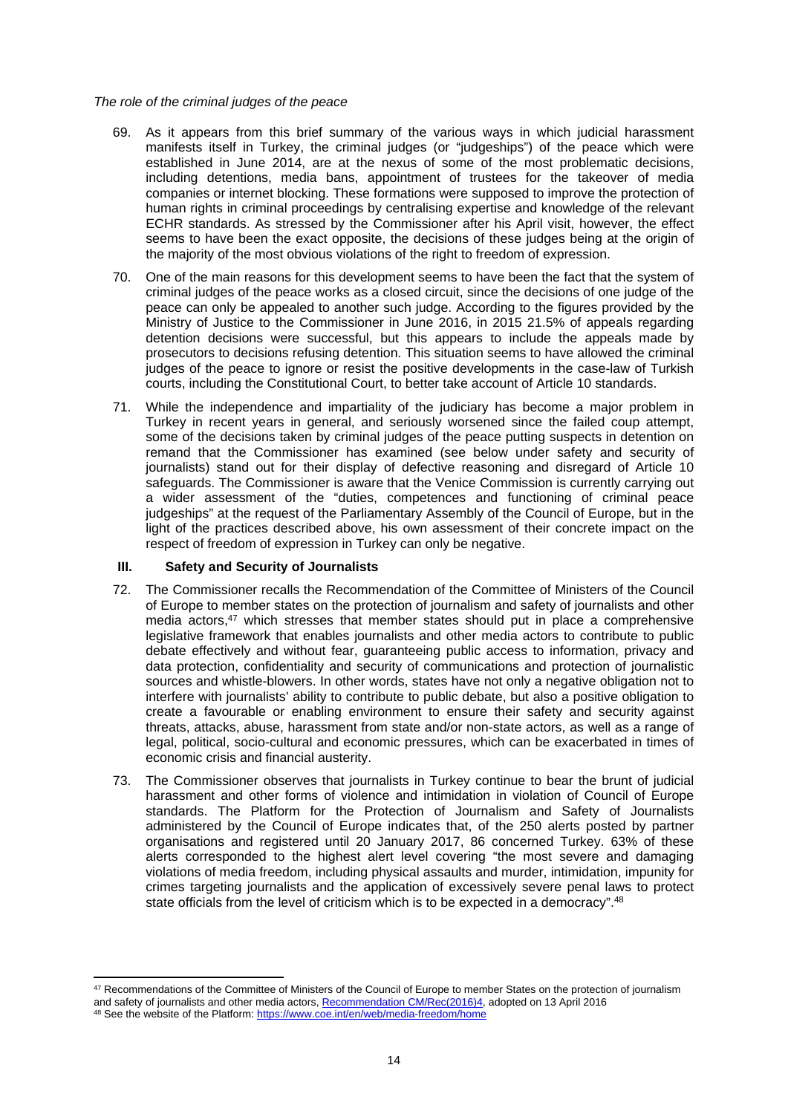### *The role of the criminal judges of the peace*

- 69. As it appears from this brief summary of the various ways in which judicial harassment manifests itself in Turkey, the criminal judges (or "judgeships") of the peace which were established in June 2014, are at the nexus of some of the most problematic decisions, including detentions, media bans, appointment of trustees for the takeover of media companies or internet blocking. These formations were supposed to improve the protection of human rights in criminal proceedings by centralising expertise and knowledge of the relevant ECHR standards. As stressed by the Commissioner after his April visit, however, the effect seems to have been the exact opposite, the decisions of these judges being at the origin of the majority of the most obvious violations of the right to freedom of expression.
- 70. One of the main reasons for this development seems to have been the fact that the system of criminal judges of the peace works as a closed circuit, since the decisions of one judge of the peace can only be appealed to another such judge. According to the figures provided by the Ministry of Justice to the Commissioner in June 2016, in 2015 21.5% of appeals regarding detention decisions were successful, but this appears to include the appeals made by prosecutors to decisions refusing detention. This situation seems to have allowed the criminal judges of the peace to ignore or resist the positive developments in the case-law of Turkish courts, including the Constitutional Court, to better take account of Article 10 standards.
- 71. While the independence and impartiality of the judiciary has become a major problem in Turkey in recent years in general, and seriously worsened since the failed coup attempt, some of the decisions taken by criminal judges of the peace putting suspects in detention on remand that the Commissioner has examined (see below under safety and security of journalists) stand out for their display of defective reasoning and disregard of Article 10 safeguards. The Commissioner is aware that the Venice Commission is currently carrying out a wider assessment of the "duties, competences and functioning of criminal peace judgeships" at the request of the Parliamentary Assembly of the Council of Europe, but in the light of the practices described above, his own assessment of their concrete impact on the respect of freedom of expression in Turkey can only be negative.

### **III. Safety and Security of Journalists**

- 72. The Commissioner recalls the Recommendation of the Committee of Ministers of the Council of Europe to member states on the protection of journalism and safety of journalists and other media actors,<sup>47</sup> which stresses that member states should put in place a comprehensive legislative framework that enables journalists and other media actors to contribute to public debate effectively and without fear, guaranteeing public access to information, privacy and data protection, confidentiality and security of communications and protection of journalistic sources and whistle-blowers. In other words, states have not only a negative obligation not to interfere with journalists' ability to contribute to public debate, but also a positive obligation to create a favourable or enabling environment to ensure their safety and security against threats, attacks, abuse, harassment from state and/or non-state actors, as well as a range of legal, political, socio-cultural and economic pressures, which can be exacerbated in times of economic crisis and financial austerity.
- 73. The Commissioner observes that journalists in Turkey continue to bear the brunt of judicial harassment and other forms of violence and intimidation in violation of Council of Europe standards. The Platform for the Protection of Journalism and Safety of Journalists administered by the Council of Europe indicates that, of the 250 alerts posted by partner organisations and registered until 20 January 2017, 86 concerned Turkey. 63% of these alerts corresponded to the highest alert level covering "the most severe and damaging violations of media freedom, including physical assaults and murder, intimidation, impunity for crimes targeting journalists and the application of excessively severe penal laws to protect state officials from the level of criticism which is to be expected in a democracy".<sup>48</sup>

<sup>47</sup> Recommendations of the Committee of Ministers of the Council of Europe to member States on the protection of journalism and safety of journalists and other media actors, [Recommendation CM/Rec\(2016\)4,](https://search.coe.int/cm/Pages/result_details.aspx?ObjectId=09000016806415d9#_ftn1) adopted on 13 April 2016 48 See the website of the Platform:<https://www.coe.int/en/web/media-freedom/home>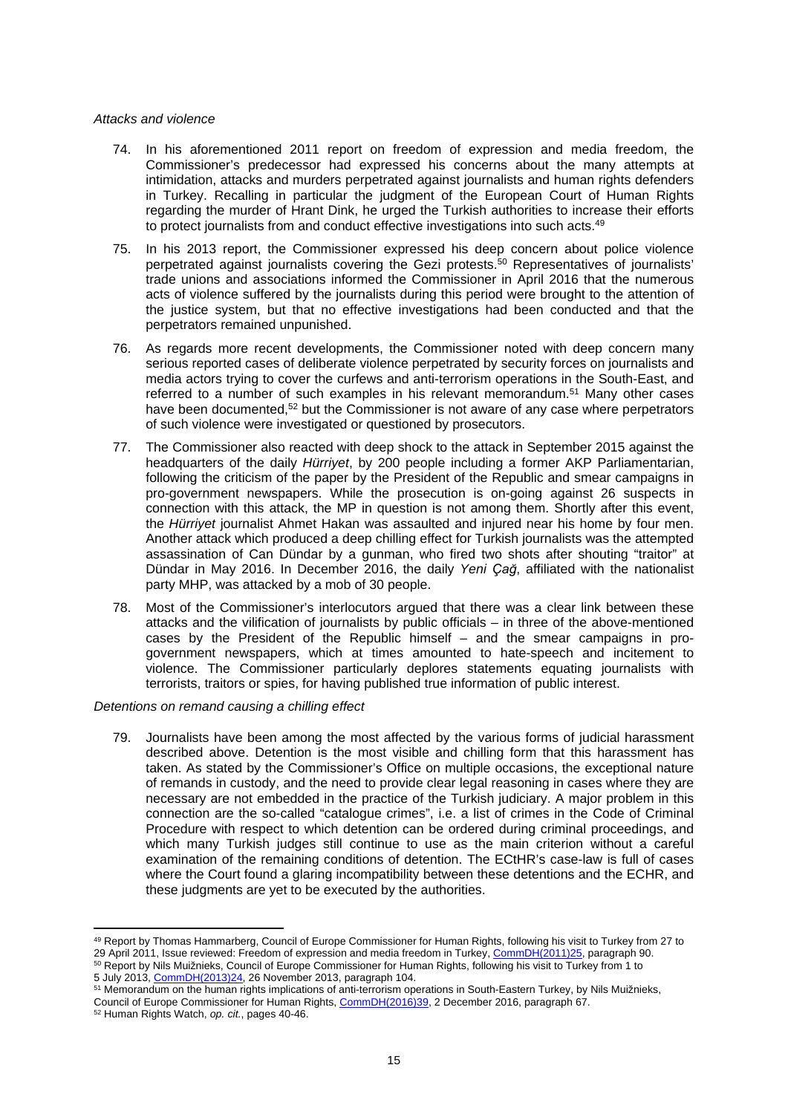#### *Attacks and violence*

- 74. In his aforementioned 2011 report on freedom of expression and media freedom, the Commissioner's predecessor had expressed his concerns about the many attempts at intimidation, attacks and murders perpetrated against journalists and human rights defenders in Turkey. Recalling in particular the judgment of the European Court of Human Rights regarding the murder of Hrant Dink, he urged the Turkish authorities to increase their efforts to protect journalists from and conduct effective investigations into such acts.<sup>49</sup>
- 75. In his 2013 report, the Commissioner expressed his deep concern about police violence perpetrated against journalists covering the Gezi protests.<sup>50</sup> Representatives of journalists' trade unions and associations informed the Commissioner in April 2016 that the numerous acts of violence suffered by the journalists during this period were brought to the attention of the justice system, but that no effective investigations had been conducted and that the perpetrators remained unpunished.
- 76. As regards more recent developments, the Commissioner noted with deep concern many serious reported cases of deliberate violence perpetrated by security forces on journalists and media actors trying to cover the curfews and anti-terrorism operations in the South-East, and referred to a number of such examples in his relevant memorandum.<sup>51</sup> Many other cases have been documented,<sup>52</sup> but the Commissioner is not aware of any case where perpetrators of such violence were investigated or questioned by prosecutors.
- 77. The Commissioner also reacted with deep shock to the attack in September 2015 against the headquarters of the daily *Hürriyet*, by 200 people including a former AKP Parliamentarian, following the criticism of the paper by the President of the Republic and smear campaigns in pro-government newspapers. While the prosecution is on-going against 26 suspects in connection with this attack, the MP in question is not among them. Shortly after this event, the *Hürriyet* journalist Ahmet Hakan was assaulted and injured near his home by four men. Another attack which produced a deep chilling effect for Turkish journalists was the attempted assassination of Can Dündar by a gunman, who fired two shots after shouting "traitor" at Dündar in May 2016. In December 2016, the daily *Yeni Çağ*, affiliated with the nationalist party MHP, was attacked by a mob of 30 people.
- 78. Most of the Commissioner's interlocutors argued that there was a clear link between these attacks and the vilification of journalists by public officials – in three of the above-mentioned cases by the President of the Republic himself – and the smear campaigns in progovernment newspapers, which at times amounted to hate-speech and incitement to violence. The Commissioner particularly deplores statements equating journalists with terrorists, traitors or spies, for having published true information of public interest.

*Detentions on remand causing a chilling effect*

79. Journalists have been among the most affected by the various forms of judicial harassment described above. Detention is the most visible and chilling form that this harassment has taken. As stated by the Commissioner's Office on multiple occasions, the exceptional nature of remands in custody, and the need to provide clear legal reasoning in cases where they are necessary are not embedded in the practice of the Turkish judiciary. A major problem in this connection are the so-called "catalogue crimes", i.e. a list of crimes in the Code of Criminal Procedure with respect to which detention can be ordered during criminal proceedings, and which many Turkish judges still continue to use as the main criterion without a careful examination of the remaining conditions of detention. The ECtHR's case-law is full of cases where the Court found a glaring incompatibility between these detentions and the ECHR, and these judgments are yet to be executed by the authorities.

<sup>49</sup> Report by Thomas Hammarberg, Council of Europe Commissioner for Human Rights, following his visit to Turkey from 27 to 29 April 2011, Issue reviewed: Freedom of expression and media freedom in Turkey, [CommDH\(2011\)25,](https://wcd.coe.int/ViewDoc.jsp?id=1814085) paragraph 90. <sup>50</sup> Report by Nils Muižnieks, Council of Europe Commissioner for Human Rights, following his visit to Turkey from 1 to

<sup>5</sup> July 2013, [CommDH\(2013\)24](https://wcd.coe.int/ViewDoc.jsp?p=&id=2129689&direct=true), 26 November 2013, paragraph 104.

<sup>51</sup> Memorandum on the human rights implications of anti-terrorism operations in South-Eastern Turkey, by Nils Muižnieks, Council of Europe Commissioner for Human Rights, [CommDH\(2016\)39,](https://wcd.coe.int/ViewDoc.jsp?p=&Ref=CommDH(2016)39) 2 December 2016, paragraph 67.

<sup>52</sup> Human Rights Watch, *op. cit.*, pages 40-46.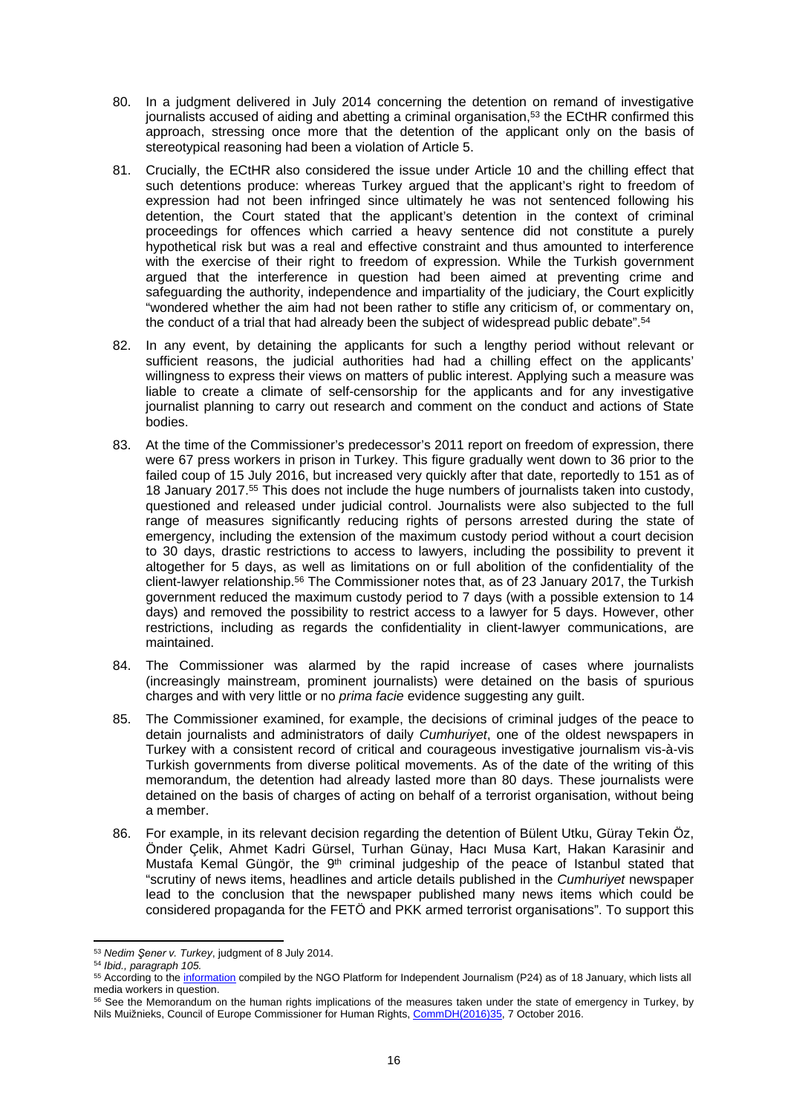- 80. In a judgment delivered in July 2014 concerning the detention on remand of investigative journalists accused of aiding and abetting a criminal organisation, $5<sup>3</sup>$  the ECtHR confirmed this approach, stressing once more that the detention of the applicant only on the basis of stereotypical reasoning had been a violation of Article 5.
- 81. Crucially, the ECtHR also considered the issue under Article 10 and the chilling effect that such detentions produce: whereas Turkey argued that the applicant's right to freedom of expression had not been infringed since ultimately he was not sentenced following his detention, the Court stated that the applicant's detention in the context of criminal proceedings for offences which carried a heavy sentence did not constitute a purely hypothetical risk but was a real and effective constraint and thus amounted to interference with the exercise of their right to freedom of expression. While the Turkish government argued that the interference in question had been aimed at preventing crime and safeguarding the authority, independence and impartiality of the judiciary, the Court explicitly "wondered whether the aim had not been rather to stifle any criticism of, or commentary on, the conduct of a trial that had already been the subject of widespread public debate".<sup>54</sup>
- 82. In any event, by detaining the applicants for such a lengthy period without relevant or sufficient reasons, the judicial authorities had had a chilling effect on the applicants' willingness to express their views on matters of public interest. Applying such a measure was liable to create a climate of self-censorship for the applicants and for any investigative journalist planning to carry out research and comment on the conduct and actions of State bodies.
- 83. At the time of the Commissioner's predecessor's 2011 report on freedom of expression, there were 67 press workers in prison in Turkey. This figure gradually went down to 36 prior to the failed coup of 15 July 2016, but increased very quickly after that date, reportedly to 151 as of 18 January 2017.<sup>55</sup> This does not include the huge numbers of journalists taken into custody, questioned and released under judicial control. Journalists were also subjected to the full range of measures significantly reducing rights of persons arrested during the state of emergency, including the extension of the maximum custody period without a court decision to 30 days, drastic restrictions to access to lawyers, including the possibility to prevent it altogether for 5 days, as well as limitations on or full abolition of the confidentiality of the client-lawyer relationship.<sup>56</sup> The Commissioner notes that, as of 23 January 2017, the Turkish government reduced the maximum custody period to 7 days (with a possible extension to 14 days) and removed the possibility to restrict access to a lawyer for 5 days. However, other restrictions, including as regards the confidentiality in client-lawyer communications, are maintained.
- 84. The Commissioner was alarmed by the rapid increase of cases where journalists (increasingly mainstream, prominent journalists) were detained on the basis of spurious charges and with very little or no *prima facie* evidence suggesting any guilt.
- 85. The Commissioner examined, for example, the decisions of criminal judges of the peace to detain journalists and administrators of daily *Cumhuriyet*, one of the oldest newspapers in Turkey with a consistent record of critical and courageous investigative journalism vis-à-vis Turkish governments from diverse political movements. As of the date of the writing of this memorandum, the detention had already lasted more than 80 days. These journalists were detained on the basis of charges of acting on behalf of a terrorist organisation, without being a member.
- 86. For example, in its relevant decision regarding the detention of Bülent Utku, Güray Tekin Öz, Önder Çelik, Ahmet Kadri Gürsel, Turhan Günay, Hacı Musa Kart, Hakan Karasinir and Mustafa Kemal Güngör, the 9<sup>th</sup> criminal judgeship of the peace of Istanbul stated that "scrutiny of news items, headlines and article details published in the *Cumhuriyet* newspaper lead to the conclusion that the newspaper published many news items which could be considered propaganda for the FETÖ and PKK armed terrorist organisations". To support this

<sup>53</sup> *Nedim Şener v. Turkey*, judgment of 8 July 2014.

<sup>54</sup> *Ibid., paragraph 105.*

<sup>55</sup> According to the [information](http://platform24.org/guncel/1969/olaganustu-h-l-de-gazeteciler---50) compiled by the NGO Platform for Independent Journalism (P24) as of 18 January, which lists all media workers in question.

<sup>&</sup>lt;sup>56</sup> See the Memorandum on the human rights implications of the measures taken under the state of emergency in Turkey, by Nils Muižnieks, Council of Europe Commissioner for Human Rights, [CommDH\(2016\)35](https://wcd.coe.int/ViewDoc.jsp?p=&Ref=CommDH(2016)35&Language=lanAll&direct=true), 7 October 2016.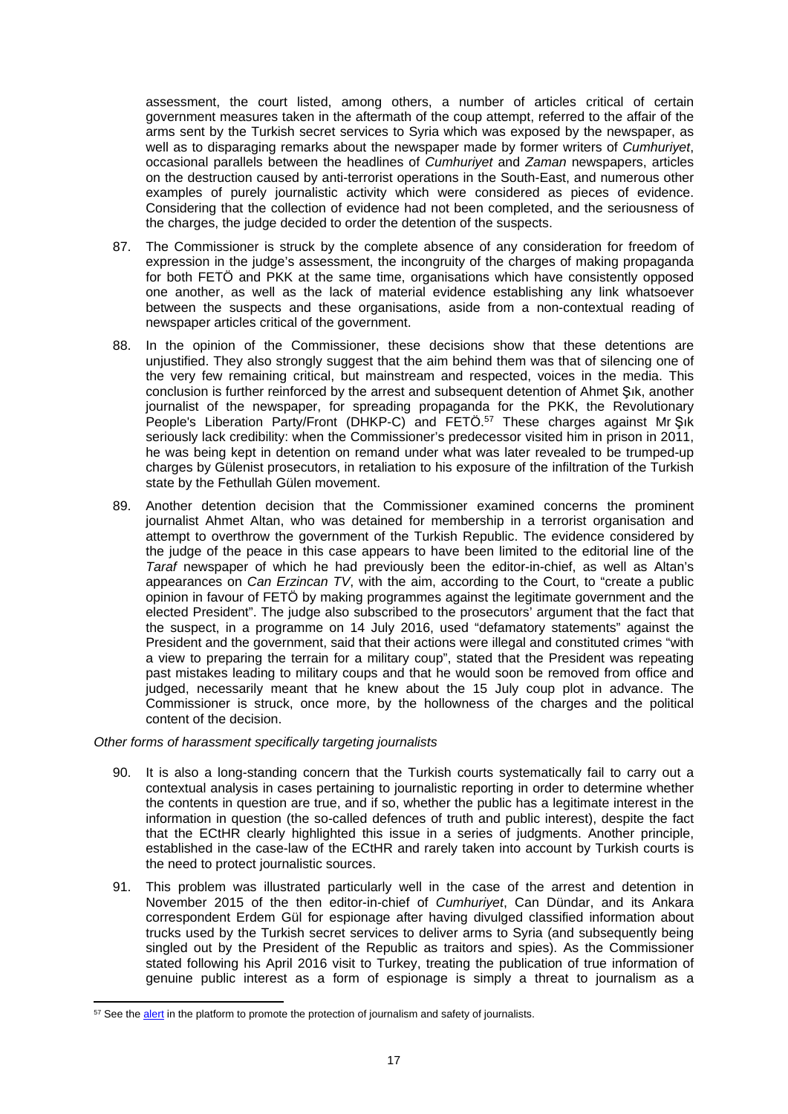assessment, the court listed, among others, a number of articles critical of certain government measures taken in the aftermath of the coup attempt, referred to the affair of the arms sent by the Turkish secret services to Syria which was exposed by the newspaper, as well as to disparaging remarks about the newspaper made by former writers of *Cumhuriyet*, occasional parallels between the headlines of *Cumhuriyet* and *Zaman* newspapers, articles on the destruction caused by anti-terrorist operations in the South-East, and numerous other examples of purely journalistic activity which were considered as pieces of evidence. Considering that the collection of evidence had not been completed, and the seriousness of the charges, the judge decided to order the detention of the suspects.

- 87. The Commissioner is struck by the complete absence of any consideration for freedom of expression in the judge's assessment, the incongruity of the charges of making propaganda for both FETÖ and PKK at the same time, organisations which have consistently opposed one another, as well as the lack of material evidence establishing any link whatsoever between the suspects and these organisations, aside from a non-contextual reading of newspaper articles critical of the government.
- 88. In the opinion of the Commissioner, these decisions show that these detentions are unjustified. They also strongly suggest that the aim behind them was that of silencing one of the very few remaining critical, but mainstream and respected, voices in the media. This conclusion is further reinforced by the arrest and subsequent detention of Ahmet Şık, another journalist of the newspaper, for spreading propaganda for the PKK, the Revolutionary People's Liberation Party/Front (DHKP-C) and FETÖ.<sup>57</sup> These charges against Mr Şık seriously lack credibility: when the Commissioner's predecessor visited him in prison in 2011, he was being kept in detention on remand under what was later revealed to be trumped-up charges by Gülenist prosecutors, in retaliation to his exposure of the infiltration of the Turkish state by the Fethullah Gülen movement.
- 89. Another detention decision that the Commissioner examined concerns the prominent journalist Ahmet Altan, who was detained for membership in a terrorist organisation and attempt to overthrow the government of the Turkish Republic. The evidence considered by the judge of the peace in this case appears to have been limited to the editorial line of the *Taraf* newspaper of which he had previously been the editor-in-chief, as well as Altan's appearances on *Can Erzincan TV*, with the aim, according to the Court, to "create a public opinion in favour of FETÖ by making programmes against the legitimate government and the elected President". The judge also subscribed to the prosecutors' argument that the fact that the suspect, in a programme on 14 July 2016, used "defamatory statements" against the President and the government, said that their actions were illegal and constituted crimes "with a view to preparing the terrain for a military coup", stated that the President was repeating past mistakes leading to military coups and that he would soon be removed from office and judged, necessarily meant that he knew about the 15 July coup plot in advance. The Commissioner is struck, once more, by the hollowness of the charges and the political content of the decision.

### *Other forms of harassment specifically targeting journalists*

- 90. It is also a long-standing concern that the Turkish courts systematically fail to carry out a contextual analysis in cases pertaining to journalistic reporting in order to determine whether the contents in question are true, and if so, whether the public has a legitimate interest in the information in question (the so-called defences of truth and public interest), despite the fact that the ECtHR clearly highlighted this issue in a series of judgments. Another principle, established in the case-law of the ECtHR and rarely taken into account by Turkish courts is the need to protect journalistic sources.
- 91. This problem was illustrated particularly well in the case of the arrest and detention in November 2015 of the then editor-in-chief of *Cumhuriyet*, Can Dündar, and its Ankara correspondent Erdem Gül for espionage after having divulged classified information about trucks used by the Turkish secret services to deliver arms to Syria (and subsequently being singled out by the President of the Republic as traitors and spies). As the Commissioner stated following his April 2016 visit to Turkey, treating the publication of true information of genuine public interest as a form of espionage is simply a threat to journalism as a

<sup>&</sup>lt;sup>57</sup> See the [alert](https://www.coe.int/en/web/media-freedom/all-alerts?p_p_id=sojdashboard_WAR_coesojportlet&p_p_lifecycle=0&p_p_state=normal&p_p_mode=view&p_p_col_id=column-1&p_p_col_pos=2&p_p_col_count=4&_sojdashboard_WAR_coesojportlet_mvcPath=%2Fhtml%2Fdashboard%2Fsearch_results.jsp&_sojdashboard_WAR_coesojportlet_yearOfIncident=0&_sojdashboard_WAR_coesojportlet_selectedCategories=11709592&_sojdashboard_WAR_coesojportlet_fulltext=1) in the platform to promote the protection of journalism and safety of journalists.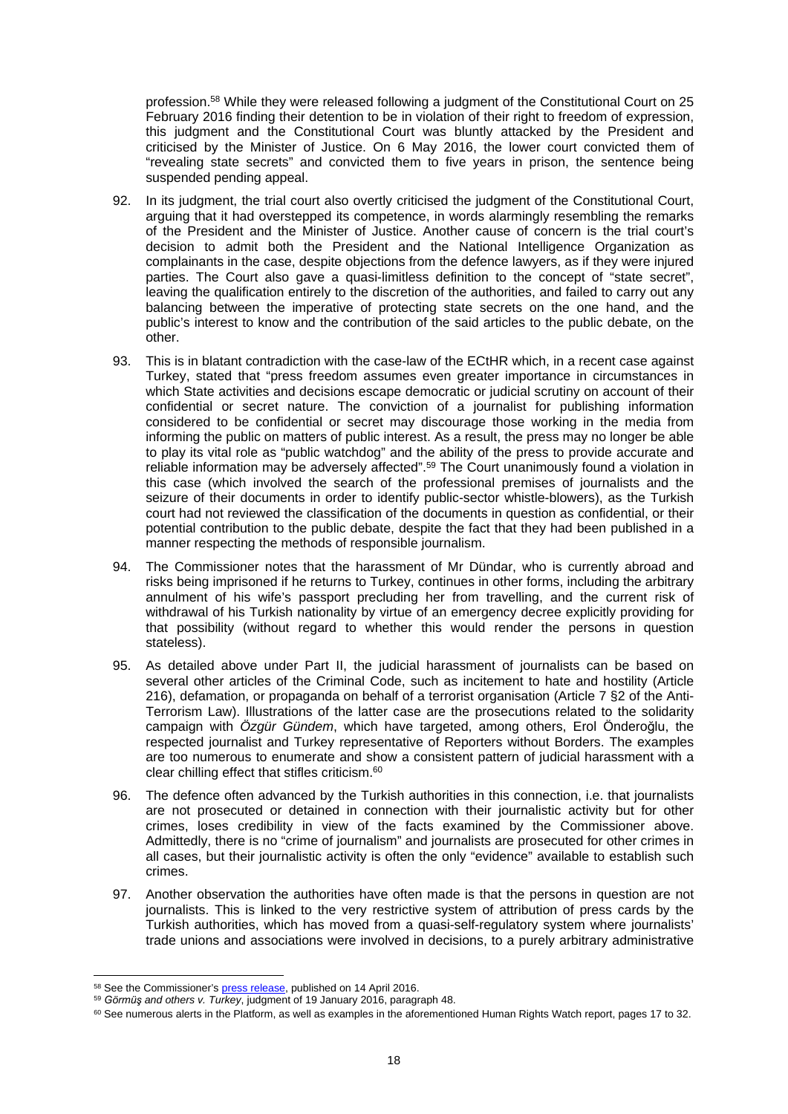profession.<sup>58</sup> While they were released following a judgment of the Constitutional Court on 25 February 2016 finding their detention to be in violation of their right to freedom of expression, this judgment and the Constitutional Court was bluntly attacked by the President and criticised by the Minister of Justice. On 6 May 2016, the lower court convicted them of "revealing state secrets" and convicted them to five years in prison, the sentence being suspended pending appeal.

- 92. In its judgment, the trial court also overtly criticised the judgment of the Constitutional Court, arguing that it had overstepped its competence, in words alarmingly resembling the remarks of the President and the Minister of Justice. Another cause of concern is the trial court's decision to admit both the President and the National Intelligence Organization as complainants in the case, despite objections from the defence lawyers, as if they were injured parties. The Court also gave a quasi-limitless definition to the concept of "state secret", leaving the qualification entirely to the discretion of the authorities, and failed to carry out any balancing between the imperative of protecting state secrets on the one hand, and the public's interest to know and the contribution of the said articles to the public debate, on the other.
- 93. This is in blatant contradiction with the case-law of the ECtHR which, in a recent case against Turkey, stated that "press freedom assumes even greater importance in circumstances in which State activities and decisions escape democratic or judicial scrutiny on account of their confidential or secret nature. The conviction of a journalist for publishing information considered to be confidential or secret may discourage those working in the media from informing the public on matters of public interest. As a result, the press may no longer be able to play its vital role as "public watchdog" and the ability of the press to provide accurate and reliable information may be adversely affected".<sup>59</sup> The Court unanimously found a violation in this case (which involved the search of the professional premises of journalists and the seizure of their documents in order to identify public-sector whistle-blowers), as the Turkish court had not reviewed the classification of the documents in question as confidential, or their potential contribution to the public debate, despite the fact that they had been published in a manner respecting the methods of responsible journalism.
- 94. The Commissioner notes that the harassment of Mr Dündar, who is currently abroad and risks being imprisoned if he returns to Turkey, continues in other forms, including the arbitrary annulment of his wife's passport precluding her from travelling, and the current risk of withdrawal of his Turkish nationality by virtue of an emergency decree explicitly providing for that possibility (without regard to whether this would render the persons in question stateless).
- 95. As detailed above under Part II, the judicial harassment of journalists can be based on several other articles of the Criminal Code, such as incitement to hate and hostility (Article 216), defamation, or propaganda on behalf of a terrorist organisation (Article 7 §2 of the Anti-Terrorism Law). Illustrations of the latter case are the prosecutions related to the solidarity campaign with *Özgür Gündem*, which have targeted, among others, Erol Önderoğlu, the respected journalist and Turkey representative of Reporters without Borders. The examples are too numerous to enumerate and show a consistent pattern of judicial harassment with a clear chilling effect that stifles criticism.<sup>60</sup>
- 96. The defence often advanced by the Turkish authorities in this connection, i.e. that journalists are not prosecuted or detained in connection with their journalistic activity but for other crimes, loses credibility in view of the facts examined by the Commissioner above. Admittedly, there is no "crime of journalism" and journalists are prosecuted for other crimes in all cases, but their journalistic activity is often the only "evidence" available to establish such crimes.
- 97. Another observation the authorities have often made is that the persons in question are not journalists. This is linked to the very restrictive system of attribution of press cards by the Turkish authorities, which has moved from a quasi-self-regulatory system where journalists' trade unions and associations were involved in decisions, to a purely arbitrary administrative

<sup>58</sup> See the Commissioner's [press release,](http://www.coe.int/en/web/commissioner/-/turkey-security-trumping-human-rights-free-expression-under-threat?inheritRedirect=true&redirect=%2Fen%2Fweb%2Fcommissioner%2Fcountry-report%2Fturkey) published on 14 April 2016.

<sup>59</sup> *Görmüş and others v. Turkey*, judgment of 19 January 2016, paragraph 48.

<sup>&</sup>lt;sup>60</sup> See numerous alerts in the Platform, as well as examples in the aforementioned Human Rights Watch report, pages 17 to 32.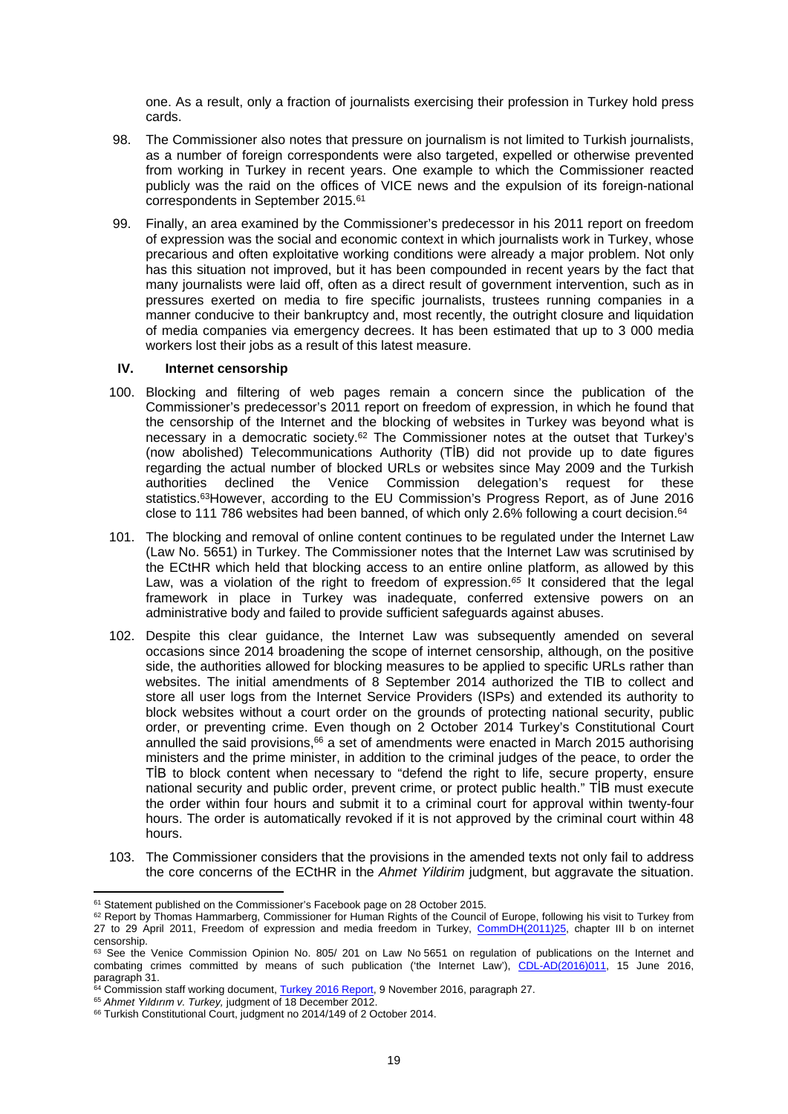one. As a result, only a fraction of journalists exercising their profession in Turkey hold press cards.

- 98. The Commissioner also notes that pressure on journalism is not limited to Turkish journalists, as a number of foreign correspondents were also targeted, expelled or otherwise prevented from working in Turkey in recent years. One example to which the Commissioner reacted publicly was the raid on the offices of VICE news and the expulsion of its foreign-national correspondents in September 2015.<sup>61</sup>
- 99. Finally, an area examined by the Commissioner's predecessor in his 2011 report on freedom of expression was the social and economic context in which journalists work in Turkey, whose precarious and often exploitative working conditions were already a major problem. Not only has this situation not improved, but it has been compounded in recent years by the fact that many journalists were laid off, often as a direct result of government intervention, such as in pressures exerted on media to fire specific journalists, trustees running companies in a manner conducive to their bankruptcy and, most recently, the outright closure and liquidation of media companies via emergency decrees. It has been estimated that up to 3 000 media workers lost their jobs as a result of this latest measure.

### **IV. Internet censorship**

- 100. Blocking and filtering of web pages remain a concern since the publication of the Commissioner's predecessor's 2011 report on freedom of expression, in which he found that the censorship of the Internet and the blocking of websites in Turkey was beyond what is necessary in a democratic society. $62$  The Commissioner notes at the outset that Turkey's (now abolished) Telecommunications Authority (TİB) did not provide up to date figures regarding the actual number of blocked URLs or websites since May 2009 and the Turkish authorities declined the Venice Commission delegation's request for these statistics.<sup>63</sup>However, according to the EU Commission's Progress Report, as of June 2016 close to 111 786 websites had been banned, of which only 2.6% following a court decision.<sup>64</sup>
- 101. The blocking and removal of online content continues to be regulated under the Internet Law (Law No. 5651) in Turkey. The Commissioner notes that the Internet Law was scrutinised by the ECtHR which held that blocking access to an entire online platform, as allowed by this Law, was a violation of the right to freedom of expression.*<sup>65</sup>* It considered that the legal framework in place in Turkey was inadequate, conferred extensive powers on an administrative body and failed to provide sufficient safeguards against abuses.
- 102. Despite this clear guidance, the Internet Law was subsequently amended on several occasions since 2014 broadening the scope of internet censorship, although, on the positive side, the authorities allowed for blocking measures to be applied to specific URLs rather than websites. The initial amendments of 8 September 2014 authorized the TIB to collect and store all user logs from the Internet Service Providers (ISPs) and extended its authority to block websites without a court order on the grounds of protecting national security, public order, or preventing crime. Even though on 2 October 2014 Turkey's Constitutional Court annulled the said provisions, $66$  a set of amendments were enacted in March 2015 authorising ministers and the prime minister, in addition to the criminal judges of the peace, to order the TİB to block content when necessary to "defend the right to life, secure property, ensure national security and public order, prevent crime, or protect public health." TİB must execute the order within four hours and submit it to a criminal court for approval within twenty-four hours. The order is automatically revoked if it is not approved by the criminal court within 48 hours.
- 103. The Commissioner considers that the provisions in the amended texts not only fail to address the core concerns of the ECtHR in the *Ahmet Yildirim* judgment, but aggravate the situation.

<sup>&</sup>lt;sup>61</sup> Statement published on the Commissioner's Facebook page on 28 October 2015.

<sup>62</sup> Report by Thomas Hammarberg, Commissioner for Human Rights of the Council of Europe, following his visit to Turkey from 27 to 29 April 2011, Freedom of expression and media freedom in Turkey, [CommDH\(2011\)25,](https://wcd.coe.int/ViewDoc.jsp?p=&id=1814085&Site=COE&BackColorInternet=DBDCF2&BackColorIntranet=FDC864&BackColorLogged=FDC864&direct=true) chapter III b on internet censorship.

<sup>63</sup> See the Venice Commission Opinion No. 805/ 201 on Law No 5651 on regulation of publications on the Internet and combating crimes committed by means of such publication ('the Internet Law'), [CDL-AD\(2016\)011](http://www.venice.coe.int/webforms/documents/default.aspx?pdffile=CDL-AD(2016)011-e), 15 June 2016, paragraph 31.

<sup>64</sup> Commission staff working document, [Turkey 2016 Report](https://ec.europa.eu/neighbourhood-enlargement/sites/near/files/pdf/key_documents/2016/20161109_report_turkey.pdf), 9 November 2016, paragraph 27.

<sup>65</sup> *Ahmet Yıldırım v. Turkey,* judgment of 18 December 2012.

<sup>66</sup> Turkish Constitutional Court, judgment no 2014/149 of 2 October 2014.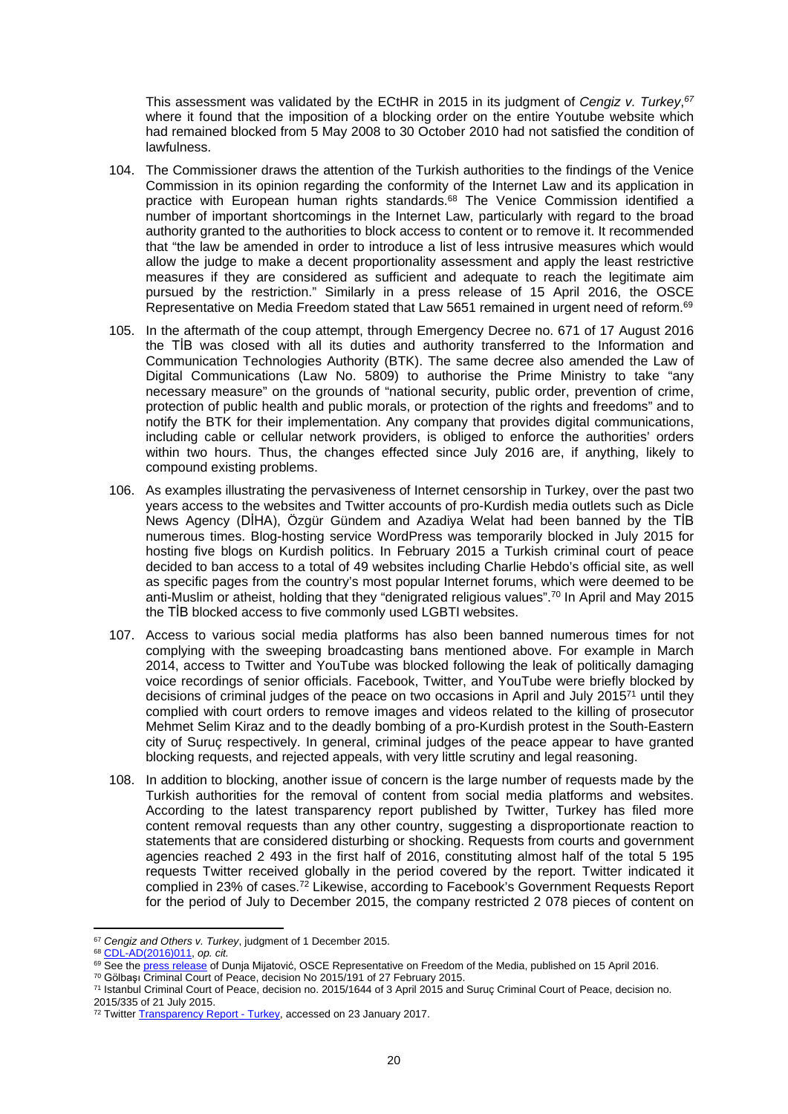This assessment was validated by the ECtHR in 2015 in its judgment of *Cengiz v. Turkey*, *67* where it found that the imposition of a blocking order on the entire Youtube website which had remained blocked from 5 May 2008 to 30 October 2010 had not satisfied the condition of lawfulness.

- 104. The Commissioner draws the attention of the Turkish authorities to the findings of the Venice Commission in its opinion regarding the conformity of the Internet Law and its application in practice with European human rights standards.<sup>68</sup> The Venice Commission identified a number of important shortcomings in the Internet Law, particularly with regard to the broad authority granted to the authorities to block access to content or to remove it. It recommended that "the law be amended in order to introduce a list of less intrusive measures which would allow the judge to make a decent proportionality assessment and apply the least restrictive measures if they are considered as sufficient and adequate to reach the legitimate aim pursued by the restriction." Similarly in a press release of 15 April 2016, the OSCE Representative on Media Freedom stated that Law 5651 remained in urgent need of reform.<sup>69</sup>
- 105. In the aftermath of the coup attempt, through Emergency Decree no. 671 of 17 August 2016 the TİB was closed with all its duties and authority transferred to the Information and Communication Technologies Authority (BTK). The same decree also amended the Law of Digital Communications (Law No. 5809) to authorise the Prime Ministry to take "any necessary measure" on the grounds of "national security, public order, prevention of crime, protection of public health and public morals, or protection of the rights and freedoms" and to notify the BTK for their implementation. Any company that provides digital communications, including cable or cellular network providers, is obliged to enforce the authorities' orders within two hours. Thus, the changes effected since July 2016 are, if anything, likely to compound existing problems.
- 106. As examples illustrating the pervasiveness of Internet censorship in Turkey, over the past two years access to the websites and Twitter accounts of pro-Kurdish media outlets such as Dicle News Agency (DİHA), Özgür Gündem and Azadiya Welat had been banned by the TİB numerous times. Blog-hosting service WordPress was temporarily blocked in July 2015 for hosting five blogs on Kurdish politics. In February 2015 a Turkish criminal court of peace decided to ban access to a total of 49 websites including Charlie Hebdo's official site, as well as specific pages from the country's most popular Internet forums, which were deemed to be anti-Muslim or atheist, holding that they "denigrated religious values".<sup>70</sup> In April and May 2015 the TİB blocked access to five commonly used LGBTI websites.
- 107. Access to various social media platforms has also been banned numerous times for not complying with the sweeping broadcasting bans mentioned above. For example in March 2014, access to Twitter and YouTube was blocked following the leak of politically damaging voice recordings of senior officials. Facebook, Twitter, and YouTube were briefly blocked by decisions of criminal judges of the peace on two occasions in April and July 2015 $71$  until they complied with court orders to remove images and videos related to the killing of prosecutor Mehmet Selim Kiraz and to the deadly bombing of a pro-Kurdish protest in the South-Eastern city of Suruç respectively. In general, criminal judges of the peace appear to have granted blocking requests, and rejected appeals, with very little scrutiny and legal reasoning.
- 108. In addition to blocking, another issue of concern is the large number of requests made by the Turkish authorities for the removal of content from social media platforms and websites. According to the latest transparency report published by Twitter, Turkey has filed more content removal requests than any other country, suggesting a disproportionate reaction to statements that are considered disturbing or shocking. Requests from courts and government agencies reached 2 493 in the first half of 2016, constituting almost half of the total 5 195 requests Twitter received globally in the period covered by the report. Twitter indicated it complied in 23% of cases.<sup>72</sup> Likewise, according to Facebook's Government Requests Report for the period of July to December 2015, the company restricted 2 078 pieces of content on

<sup>67</sup> *Cengiz and Others v. Turkey*, judgment of 1 December 2015.

<sup>68</sup> [CDL-AD\(2016\)011,](http://www.venice.coe.int/webforms/documents/default.aspx?pdffile=CDL-AD(2016)011-e) *op. cit.*

<sup>69</sup> See the [press release](http://www.osce.org/fom/233926) of Dunja Mijatović, OSCE Representative on Freedom of the Media, published on 15 April 2016.

<sup>70</sup> Gölbaşı Criminal Court of Peace, decision No 2015/191 of 27 February 2015.

<sup>71</sup> Istanbul Criminal Court of Peace, decision no. 2015/1644 of 3 April 2015 and Suruç Criminal Court of Peace, decision no. 2015/335 of 21 July 2015.

<sup>&</sup>lt;sup>72</sup> Twitter [Transparency Report - Turkey,](https://transparency.twitter.com/en/countries/tr.html) accessed on 23 January 2017.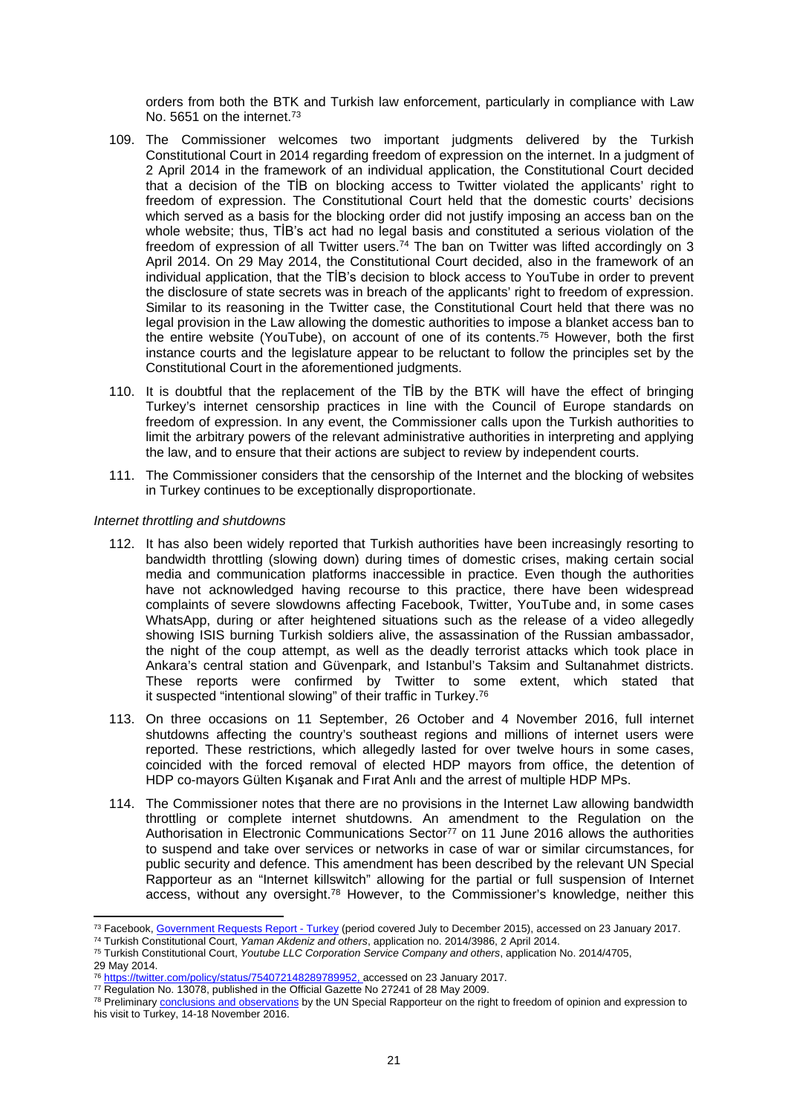orders from both the BTK and Turkish law enforcement, particularly in compliance with Law No. 5651 on the internet.<sup>73</sup>

- 109. The Commissioner welcomes two important judgments delivered by the Turkish Constitutional Court in 2014 regarding freedom of expression on the internet. In a judgment of 2 April 2014 in the framework of an individual application, the Constitutional Court decided that a decision of the TİB on blocking access to Twitter violated the applicants' right to freedom of expression. The Constitutional Court held that the domestic courts' decisions which served as a basis for the blocking order did not justify imposing an access ban on the whole website; thus, TİB's act had no legal basis and constituted a serious violation of the freedom of expression of all Twitter users.<sup>74</sup> The ban on Twitter was lifted accordingly on 3 April 2014. On 29 May 2014, the Constitutional Court decided, also in the framework of an individual application, that the TİB's decision to block access to YouTube in order to prevent the disclosure of state secrets was in breach of the applicants' right to freedom of expression. Similar to its reasoning in the Twitter case, the Constitutional Court held that there was no legal provision in the Law allowing the domestic authorities to impose a blanket access ban to the entire website (YouTube), on account of one of its contents.<sup>75</sup> However, both the first instance courts and the legislature appear to be reluctant to follow the principles set by the Constitutional Court in the aforementioned judgments.
- 110. It is doubtful that the replacement of the TİB by the BTK will have the effect of bringing Turkey's internet censorship practices in line with the Council of Europe standards on freedom of expression. In any event, the Commissioner calls upon the Turkish authorities to limit the arbitrary powers of the relevant administrative authorities in interpreting and applying the law, and to ensure that their actions are subject to review by independent courts.
- 111. The Commissioner considers that the censorship of the Internet and the blocking of websites in Turkey continues to be exceptionally disproportionate.

### *Internet throttling and shutdowns*

- 112. It has also been widely reported that Turkish authorities have been increasingly resorting to bandwidth throttling (slowing down) during times of domestic crises, making certain social media and communication platforms inaccessible in practice. Even though the authorities have not acknowledged having recourse to this practice, there have been widespread complaints of severe slowdowns affecting Facebook, Twitter, YouTube and, in some cases WhatsApp, during or after heightened situations such as the release of a video allegedly showing ISIS burning Turkish soldiers alive, the assassination of the Russian ambassador, the night of the coup attempt, as well as the deadly terrorist attacks which took place in Ankara's central station and Güvenpark, and Istanbul's Taksim and Sultanahmet districts. These reports were confirmed by Twitter to some extent, which stated that it suspected "intentional slowing" of their traffic in Turkey.<sup>76</sup>
- 113. On three occasions on 11 September, 26 October and 4 November 2016, full internet shutdowns affecting the country's southeast regions and millions of internet users were reported. These restrictions, which allegedly lasted for over twelve hours in some cases, coincided with the forced removal of elected HDP mayors from office, the detention of HDP co-mayors Gülten Kışanak and Fırat Anlı and the arrest of multiple HDP MPs.
- 114. The Commissioner notes that there are no provisions in the Internet Law allowing bandwidth throttling or complete internet shutdowns. An amendment to the Regulation on the Authorisation in Electronic Communications Sector<sup>77</sup> on 11 June 2016 allows the authorities to suspend and take over services or networks in case of war or similar circumstances, for public security and defence. This amendment has been described by the relevant UN Special Rapporteur as an "Internet killswitch" allowing for the partial or full suspension of Internet access, without any oversight.<sup>78</sup> However, to the Commissioner's knowledge, neither this

<sup>73</sup> Facebook, [Government Requests Report](https://govtrequests.facebook.com/country/Turkey/2015-H2/) - Turkey (period covered July to December 2015), accessed on 23 January 2017.

<sup>74</sup> Turkish Constitutional Court, *Yaman Akdeniz and others*, application no. 2014/3986, 2 April 2014.

<sup>75</sup> Turkish Constitutional Court, *Youtube LLC Corporation Service Company and others*, application No. 2014/4705, 29 May 2014. <sup>76</sup> [https://twitter.com/policy/status/754072148289789952,](https://twitter.com/policy/status/754072148289789952) accessed on 23 January 2017.

<sup>77</sup> Regulation No. 13078, published in the Official Gazette No 27241 of 28 May 2009.

<sup>&</sup>lt;sup>78</sup> Preliminary [conclusions and observations](http://www.ohchr.org/EN/NewsEvents/Pages/DisplayNews.aspx?LangID=E&NewsID=20891#sthash.oKl4s3Ng.dpuf) by the UN Special Rapporteur on the right to freedom of opinion and expression to his visit to Turkey, 14-18 November 2016.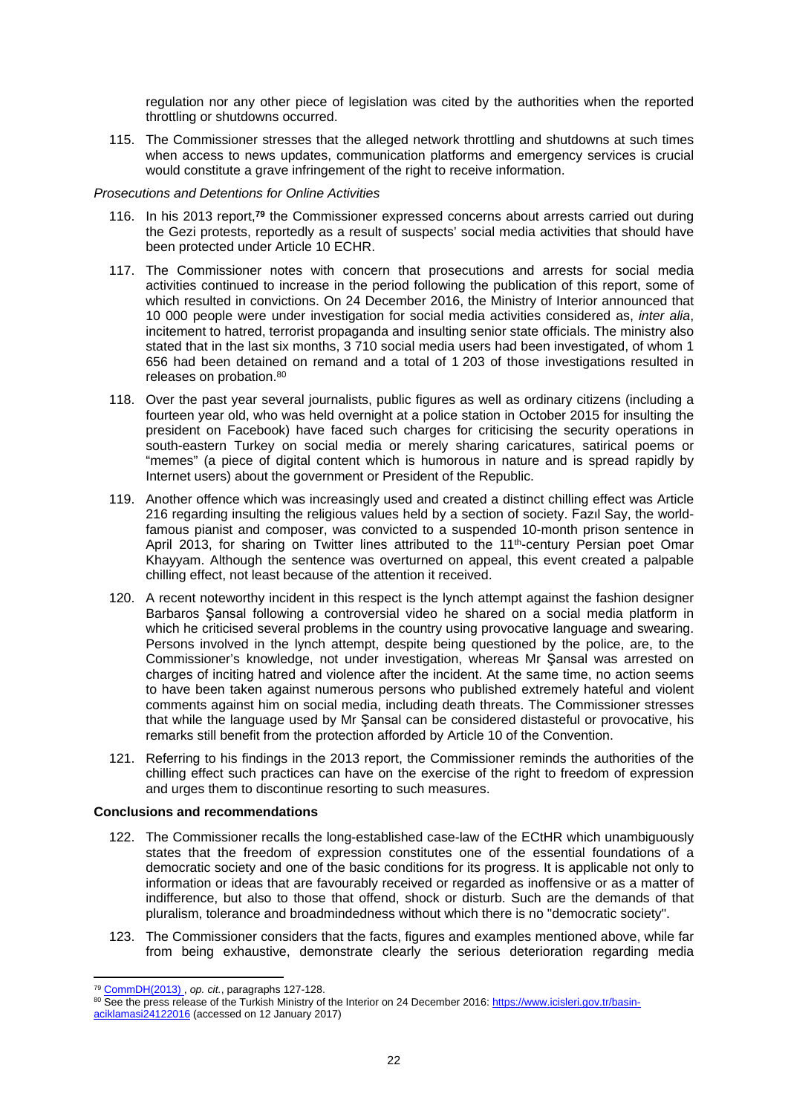regulation nor any other piece of legislation was cited by the authorities when the reported throttling or shutdowns occurred.

115. The Commissioner stresses that the alleged network throttling and shutdowns at such times when access to news updates, communication platforms and emergency services is crucial would constitute a grave infringement of the right to receive information.

### *Prosecutions and Detentions for Online Activities*

- 116. In his 2013 report,**<sup>79</sup>** the Commissioner expressed concerns about arrests carried out during the Gezi protests, reportedly as a result of suspects' social media activities that should have been protected under Article 10 ECHR.
- 117. The Commissioner notes with concern that prosecutions and arrests for social media activities continued to increase in the period following the publication of this report, some of which resulted in convictions. On 24 December 2016, the Ministry of Interior announced that 10 000 people were under investigation for social media activities considered as, *inter alia*, incitement to hatred, terrorist propaganda and insulting senior state officials. The ministry also stated that in the last six months, 3 710 social media users had been investigated, of whom 1 656 had been detained on remand and a total of 1 203 of those investigations resulted in releases on probation.<sup>80</sup>
- 118. Over the past year several journalists, public figures as well as ordinary citizens (including a fourteen year old, who was held overnight at a police station in October 2015 for insulting the president on Facebook) have faced such charges for criticising the security operations in south-eastern Turkey on social media or merely sharing caricatures, satirical poems or "memes" (a piece of digital content which is humorous in nature and is spread rapidly by Internet users) about the government or President of the Republic.
- 119. Another offence which was increasingly used and created a distinct chilling effect was Article 216 regarding insulting the religious values held by a section of society. Fazıl Say, the worldfamous pianist and composer, was convicted to a suspended 10-month prison sentence in April 2013, for sharing on Twitter lines attributed to the 11<sup>th</sup>-century Persian poet Omar Khayyam. Although the sentence was overturned on appeal, this event created a palpable chilling effect, not least because of the attention it received.
- 120. A recent noteworthy incident in this respect is the lynch attempt against the fashion designer Barbaros Şansal following a controversial video he shared on a social media platform in which he criticised several problems in the country using provocative language and swearing. Persons involved in the lynch attempt, despite being questioned by the police, are, to the Commissioner's knowledge, not under investigation, whereas Mr Şansal was arrested on charges of inciting hatred and violence after the incident. At the same time, no action seems to have been taken against numerous persons who published extremely hateful and violent comments against him on social media, including death threats. The Commissioner stresses that while the language used by Mr Şansal can be considered distasteful or provocative, his remarks still benefit from the protection afforded by Article 10 of the Convention.
- 121. Referring to his findings in the 2013 report, the Commissioner reminds the authorities of the chilling effect such practices can have on the exercise of the right to freedom of expression and urges them to discontinue resorting to such measures.

### **Conclusions and recommendations**

- 122. The Commissioner recalls the long-established case-law of the ECtHR which unambiguously states that the freedom of expression constitutes one of the essential foundations of a democratic society and one of the basic conditions for its progress. It is applicable not only to information or ideas that are favourably received or regarded as inoffensive or as a matter of indifference, but also to those that offend, shock or disturb. Such are the demands of that pluralism, tolerance and broadmindedness without which there is no "democratic society".
- 123. The Commissioner considers that the facts, figures and examples mentioned above, while far from being exhaustive, demonstrate clearly the serious deterioration regarding media

<sup>79</sup> [CommDH\(2013\)](https://wcd.coe.int/ViewDoc.jsp?p=&id=2129689&Site=COE&BackColorInternet=DBDCF2&BackColorIntranet=FDC864&BackColorLogged=FDC864&direct=true) , *op. cit.*, paragraphs 127-128.

<sup>80</sup> See the press release of the Turkish Ministry of the Interior on 24 December 2016: [https://www.icisleri.gov.tr/basin](https://www.icisleri.gov.tr/basin-aciklamasi24122016)[aciklamasi24122016](https://www.icisleri.gov.tr/basin-aciklamasi24122016) (accessed on 12 January 2017)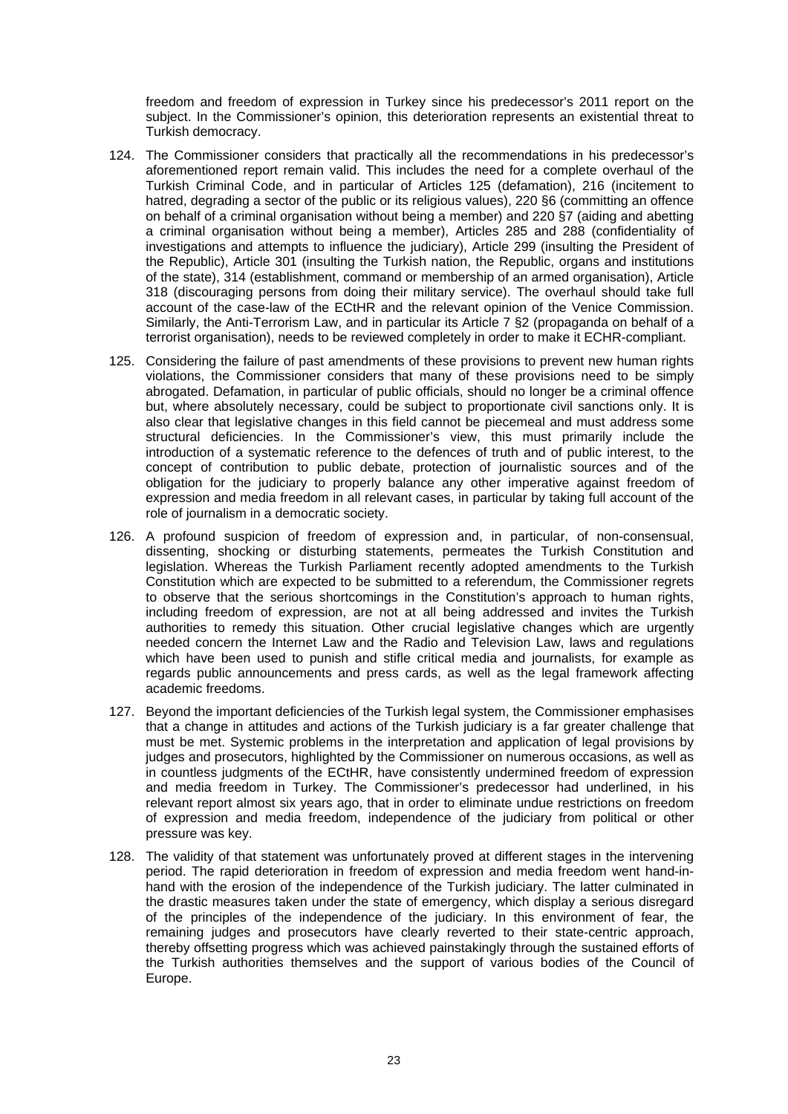freedom and freedom of expression in Turkey since his predecessor's 2011 report on the subject. In the Commissioner's opinion, this deterioration represents an existential threat to Turkish democracy.

- 124. The Commissioner considers that practically all the recommendations in his predecessor's aforementioned report remain valid. This includes the need for a complete overhaul of the Turkish Criminal Code, and in particular of Articles 125 (defamation), 216 (incitement to hatred, degrading a sector of the public or its religious values), 220 §6 (committing an offence on behalf of a criminal organisation without being a member) and 220 §7 (aiding and abetting a criminal organisation without being a member), Articles 285 and 288 (confidentiality of investigations and attempts to influence the judiciary), Article 299 (insulting the President of the Republic), Article 301 (insulting the Turkish nation, the Republic, organs and institutions of the state), 314 (establishment, command or membership of an armed organisation), Article 318 (discouraging persons from doing their military service). The overhaul should take full account of the case-law of the ECtHR and the relevant opinion of the Venice Commission. Similarly, the Anti-Terrorism Law, and in particular its Article 7 §2 (propaganda on behalf of a terrorist organisation), needs to be reviewed completely in order to make it ECHR-compliant.
- 125. Considering the failure of past amendments of these provisions to prevent new human rights violations, the Commissioner considers that many of these provisions need to be simply abrogated. Defamation, in particular of public officials, should no longer be a criminal offence but, where absolutely necessary, could be subject to proportionate civil sanctions only. It is also clear that legislative changes in this field cannot be piecemeal and must address some structural deficiencies. In the Commissioner's view, this must primarily include the introduction of a systematic reference to the defences of truth and of public interest, to the concept of contribution to public debate, protection of journalistic sources and of the obligation for the judiciary to properly balance any other imperative against freedom of expression and media freedom in all relevant cases, in particular by taking full account of the role of journalism in a democratic society.
- 126. A profound suspicion of freedom of expression and, in particular, of non-consensual, dissenting, shocking or disturbing statements, permeates the Turkish Constitution and legislation. Whereas the Turkish Parliament recently adopted amendments to the Turkish Constitution which are expected to be submitted to a referendum, the Commissioner regrets to observe that the serious shortcomings in the Constitution's approach to human rights, including freedom of expression, are not at all being addressed and invites the Turkish authorities to remedy this situation. Other crucial legislative changes which are urgently needed concern the Internet Law and the Radio and Television Law, laws and regulations which have been used to punish and stifle critical media and journalists, for example as regards public announcements and press cards, as well as the legal framework affecting academic freedoms.
- 127. Beyond the important deficiencies of the Turkish legal system, the Commissioner emphasises that a change in attitudes and actions of the Turkish judiciary is a far greater challenge that must be met. Systemic problems in the interpretation and application of legal provisions by judges and prosecutors, highlighted by the Commissioner on numerous occasions, as well as in countless judgments of the ECtHR, have consistently undermined freedom of expression and media freedom in Turkey. The Commissioner's predecessor had underlined, in his relevant report almost six years ago, that in order to eliminate undue restrictions on freedom of expression and media freedom, independence of the judiciary from political or other pressure was key.
- 128. The validity of that statement was unfortunately proved at different stages in the intervening period. The rapid deterioration in freedom of expression and media freedom went hand-inhand with the erosion of the independence of the Turkish judiciary. The latter culminated in the drastic measures taken under the state of emergency, which display a serious disregard of the principles of the independence of the judiciary. In this environment of fear, the remaining judges and prosecutors have clearly reverted to their state-centric approach, thereby offsetting progress which was achieved painstakingly through the sustained efforts of the Turkish authorities themselves and the support of various bodies of the Council of Europe.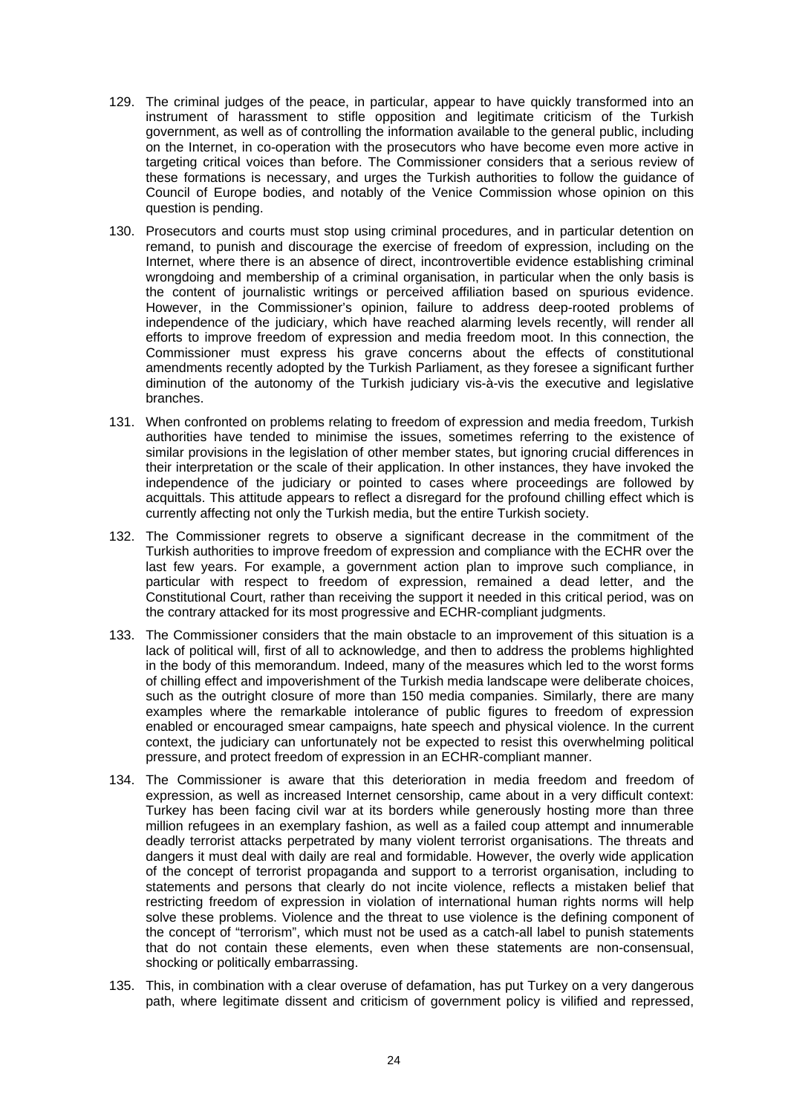- 129. The criminal judges of the peace, in particular, appear to have quickly transformed into an instrument of harassment to stifle opposition and legitimate criticism of the Turkish government, as well as of controlling the information available to the general public, including on the Internet, in co-operation with the prosecutors who have become even more active in targeting critical voices than before. The Commissioner considers that a serious review of these formations is necessary, and urges the Turkish authorities to follow the guidance of Council of Europe bodies, and notably of the Venice Commission whose opinion on this question is pending.
- 130. Prosecutors and courts must stop using criminal procedures, and in particular detention on remand, to punish and discourage the exercise of freedom of expression, including on the Internet, where there is an absence of direct, incontrovertible evidence establishing criminal wrongdoing and membership of a criminal organisation, in particular when the only basis is the content of journalistic writings or perceived affiliation based on spurious evidence. However, in the Commissioner's opinion, failure to address deep-rooted problems of independence of the judiciary, which have reached alarming levels recently, will render all efforts to improve freedom of expression and media freedom moot. In this connection, the Commissioner must express his grave concerns about the effects of constitutional amendments recently adopted by the Turkish Parliament, as they foresee a significant further diminution of the autonomy of the Turkish judiciary vis-à-vis the executive and legislative branches.
- 131. When confronted on problems relating to freedom of expression and media freedom, Turkish authorities have tended to minimise the issues, sometimes referring to the existence of similar provisions in the legislation of other member states, but ignoring crucial differences in their interpretation or the scale of their application. In other instances, they have invoked the independence of the judiciary or pointed to cases where proceedings are followed by acquittals. This attitude appears to reflect a disregard for the profound chilling effect which is currently affecting not only the Turkish media, but the entire Turkish society.
- 132. The Commissioner regrets to observe a significant decrease in the commitment of the Turkish authorities to improve freedom of expression and compliance with the ECHR over the last few years. For example, a government action plan to improve such compliance, in particular with respect to freedom of expression, remained a dead letter, and the Constitutional Court, rather than receiving the support it needed in this critical period, was on the contrary attacked for its most progressive and ECHR-compliant judgments.
- 133. The Commissioner considers that the main obstacle to an improvement of this situation is a lack of political will, first of all to acknowledge, and then to address the problems highlighted in the body of this memorandum. Indeed, many of the measures which led to the worst forms of chilling effect and impoverishment of the Turkish media landscape were deliberate choices, such as the outright closure of more than 150 media companies. Similarly, there are many examples where the remarkable intolerance of public figures to freedom of expression enabled or encouraged smear campaigns, hate speech and physical violence. In the current context, the judiciary can unfortunately not be expected to resist this overwhelming political pressure, and protect freedom of expression in an ECHR-compliant manner.
- 134. The Commissioner is aware that this deterioration in media freedom and freedom of expression, as well as increased Internet censorship, came about in a very difficult context: Turkey has been facing civil war at its borders while generously hosting more than three million refugees in an exemplary fashion, as well as a failed coup attempt and innumerable deadly terrorist attacks perpetrated by many violent terrorist organisations. The threats and dangers it must deal with daily are real and formidable. However, the overly wide application of the concept of terrorist propaganda and support to a terrorist organisation, including to statements and persons that clearly do not incite violence, reflects a mistaken belief that restricting freedom of expression in violation of international human rights norms will help solve these problems. Violence and the threat to use violence is the defining component of the concept of "terrorism", which must not be used as a catch-all label to punish statements that do not contain these elements, even when these statements are non-consensual, shocking or politically embarrassing.
- 135. This, in combination with a clear overuse of defamation, has put Turkey on a very dangerous path, where legitimate dissent and criticism of government policy is vilified and repressed,